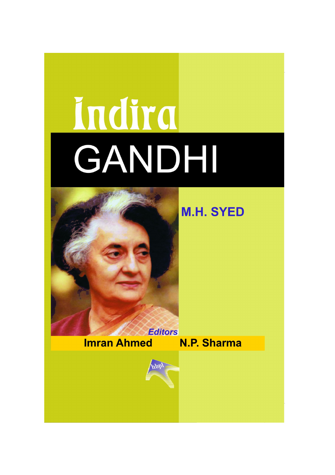# Indira GANDHI



**M.H. SYED** 

**Imran Ahmed** N.P. Sharma

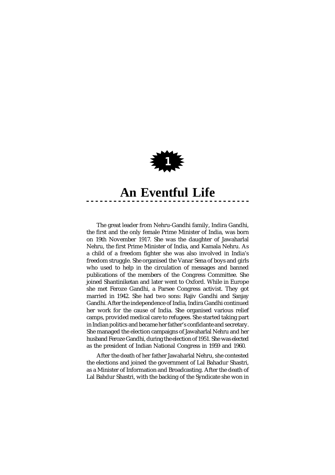

The great leader from Nehru-Gandhi family, Indira Gandhi, the first and the only female Prime Minister of India, was born on 19th November 1917. She was the daughter of Jawaharlal Nehru, the first Prime Minister of India, and Kamala Nehru. As a child of a freedom fighter she was also involved in India's freedom struggle. She organised the Vanar Sena of boys and girls who used to help in the circulation of messages and banned publications of the members of the Congress Committee. She joined Shantiniketan and later went to Oxford. While in Europe she met Feroze Gandhi, a Parsee Congress activist. They got married in 1942. She had two sons: Rajiv Gandhi and Sanjay Gandhi. After the independence of India, Indira Gandhi continued her work for the cause of India. She organised various relief camps, provided medical care to refugees. She started taking part in Indian politics and became her father's confidante and secretary. She managed the election campaigns of Jawaharlal Nehru and her husband Feroze Gandhi, during the election of 1951. She was elected as the president of Indian National Congress in 1959 and 1960.

After the death of her father Jawaharlal Nehru, she contested the elections and joined the government of Lal Bahadur Shastri, as a Minister of Information and Broadcasting. After the death of Lal Bahdur Shastri, with the backing of the Syndicate she won in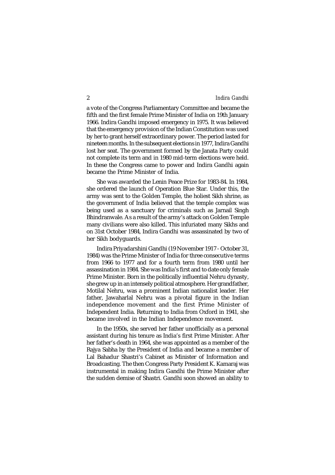a vote of the Congress Parliamentary Committee and became the fifth and the first female Prime Minister of India on 19th January 1966. Indira Gandhi imposed emergency in 1975. It was believed that the emergency provision of the Indian Constitution was used by her to grant herself extraordinary power. The period lasted for nineteen months. In the subsequent elections in 1977, Indira Gandhi lost her seat. The government formed by the Janata Party could not complete its term and in 1980 mid-term elections were held. In these the Congress came to power and Indira Gandhi again became the Prime Minister of India.

She was awarded the Lenin Peace Prize for 1983-84. In 1984, she ordered the launch of Operation Blue Star. Under this, the army was sent to the Golden Temple, the holiest Sikh shrine, as the government of India believed that the temple complex was being used as a sanctuary for criminals such as Jarnail Singh Bhindranwale. As a result of the army's attack on Golden Temple many civilians were also killed. This infuriated many Sikhs and on 31st October 1984, Indira Gandhi was assassinated by two of her Sikh bodyguards.

Indira Priyadarshini Gandhi (19 November 1917 - October 31, 1984) was the Prime Minister of India for three consecutive terms from 1966 to 1977 and for a fourth term from 1980 until her assassination in 1984. She was India's first and to date only female Prime Minister. Born in the politically influential Nehru dynasty, she grew up in an intensely political atmosphere. Her grandfather, Motilal Nehru, was a prominent Indian nationalist leader. Her father, Jawaharlal Nehru was a pivotal figure in the Indian independence movement and the first Prime Minister of Independent India. Returning to India from Oxford in 1941, she became involved in the Indian Independence movement.

In the 1950s, she served her father unofficially as a personal assistant during his tenure as India's first Prime Minister. After her father's death in 1964, she was appointed as a member of the Rajya Sabha by the President of India and became a member of Lal Bahadur Shastri's Cabinet as Minister of Information and Broadcasting. The then Congress Party President K. Kamaraj was instrumental in making Indira Gandhi the Prime Minister after the sudden demise of Shastri. Gandhi soon showed an ability to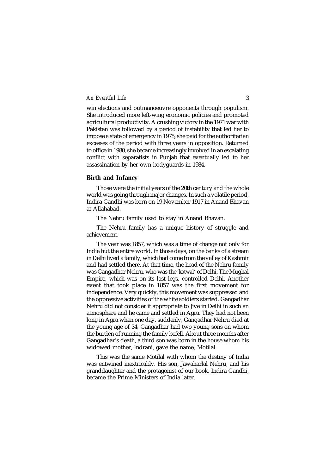win elections and outmanoeuvre opponents through populism. She introduced more left-wing economic policies and promoted agricultural productivity. A crushing victory in the 1971 war with Pakistan was followed by a period of instability that led her to impose a state of emergency in 1975; she paid for the authoritarian excesses of the period with three years in opposition. Returned to office in 1980, she became increasingly involved in an escalating conflict with separatists in Punjab that eventually led to her assassination by her own bodyguards in 1984.

### **Birth and Infancy**

Those were the initial years of the 20th century and the whole world was going through major changes. In such a volatile period, Indira Gandhi was born on 19 November 1917 in Anand Bhavan at Allahabad.

The Nehru family used to stay in Anand Bhavan.

The Nehru family has a unique history of struggle and achievement.

The year was 1857, which was a time of change not only for India hut the entire world. In those days, on the banks of a stream in Delhi lived a family, which had come from the valley of Kashmir and had settled there. At that time, the head of the Nehru family was Gangadhar Nehru, who was the *'kotwal'* of Delhi, The Mughal Empire, which was on its last legs, controlled Delhi. Another event that took place in 1857 was the first movement for independence. Very quickly, this movement was suppressed and the oppressive activities of the white soldiers started. Gangadhar Nehru did not consider it appropriate to Jive in Delhi in such an atmosphere and he came and settled in Agra. They had not been long in Agra when one day, suddenly, Gangadhar Nehru died at the young age of 34, Gangadhar had two young sons on whom the burden of running the family befell. About three months after Gangadhar's death, a third son was born in the house whom his widowed mother, lndrani, gave the name, Motilal.

This was the same Motilal with whom the destiny of India was entwined inextricably. His son, Jawaharlal Nehru, and his granddaughter and the protagonist of our book, Indira Gandhi, became the Prime Ministers of India later.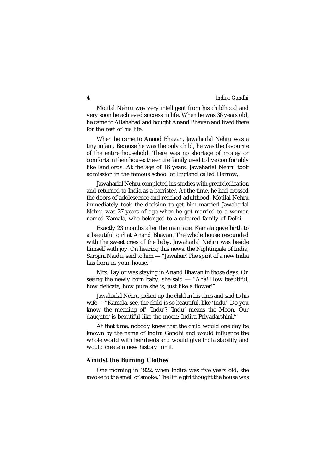Motilal Nehru was very intelligent from his childhood and very soon he achieved success in life. When he was 36 years old, he came to Allahabad and bought Anand Bhavan and lived there for the rest of his life.

When he came to Anand Bhavan, Jawaharlal Nehru was a tiny infant. Because he was the only child, he was the favourite of the entire household. There was no shortage of money or comforts in their house; the entire family used to live comfortably like landlords. At the age of 16 years, Jawaharlal Nehru took admission in the famous school of England called Harrow,

Jawaharlal Nehru completed his studies with great dedication and returned to India as a barrister. At the time, he had crossed the doors of adolescence and reached adulthood. Motilal Nehru immediately took the decision to get him married Jawaharlal Nehru was 27 years of age when he got married to a woman named Kamala, who belonged to a cultured family of Delhi.

Exactly 23 months after the marriage, Kamala gave birth to a beautiful girl at Anand Bhavan. The whole house resounded with the sweet cries of the baby. Jawaharlal Nehru was beside himself with joy. On hearing this news, the Nightingale of India, Sarojini Naidu, said to him — "Jawahar! The spirit of a new India has born in your house."

Mrs. Taylor was staying in Anand Bhavan in those days. On seeing the newly born baby, she said — "Aha! How beautiful, how delicate, how pure she is, just like a flower!"

Jawaharlal Nehru picked up the child in his aims and said to his wife — "Kamala, see, the child is so beautiful, like 'Indu'. Do you know the meaning of' 'Indu'? 'Indu' means the Moon. Our daughter is beautiful like the moon: Indira Priyadarshini."

At that time, nobody knew that the child would one day be known by the name of Indira Gandhi and would influence the whole world with her deeds and would give India stability and would create a new history for it.

### **Amidst the Burning Clothes**

One morning in 1922, when Indira was five years old, she awoke to the smell of smoke. The little girl thought the house was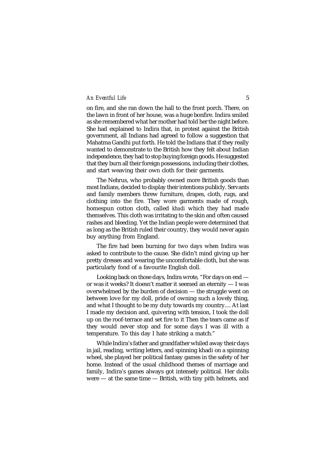on fire, and she ran down the hall to the front porch. There, on the lawn in front of her house, was a huge bonfire. Indira smiled as she remembered what her mother had told her the night before. She had explained to Indira that, in protest against the British government, all Indians had agreed to follow a suggestion that Mahatma Gandhi put forth. He told the Indians that if they really wanted to demonstrate to the British how they felt about Indian independence, they had to stop buying foreign goods. He suggested that they burn all their foreign possessions, including their clothes, and start weaving their own cloth for their garments.

The Nehrus, who probably owned more British goods than most Indians, decided to display their intentions publicly. Servants and family members threw furniture, drapes, cloth, rugs, and clothing into the fire. They wore garments made of rough, homespun cotton cloth, called *khadi* which they had made themselves. This cloth was irritating to the skin and often caused rashes and bleeding. Yet the Indian people were determined that as long as the British ruled their country, they would never again buy anything from England.

The fire had been burning for two days when Indira was asked to contribute to the cause. She didn't mind giving up her pretty dresses and wearing the uncomfortable cloth, but she was particularly fond of a favourite English doll.

Looking back on those days, Indira wrote, "For days on end or was it weeks? It doesn't matter it seemed an eternity — I was overwhelmed by the burden of decision — the struggle went on between love for my doll, pride of owning such a lovely thing, and what I thought to be my duty towards my country.... At last I made my decision and, quivering with tension, I took the doll up on the roof-terrace and set fire to it Then the tears came as if they would never stop and for some days I was ill with a temperature. To this day I hate striking a match."

While Indira's father and grandfather whiled away their days in jail, reading, writing letters, and spinning khadi on a spinning wheel, she played her political fantasy games in the safety of her home. Instead of the usual childhood themes of marriage and family, Indira's games always got intensely political. Her dolls were — at the same time — British, with tiny pith helmets, and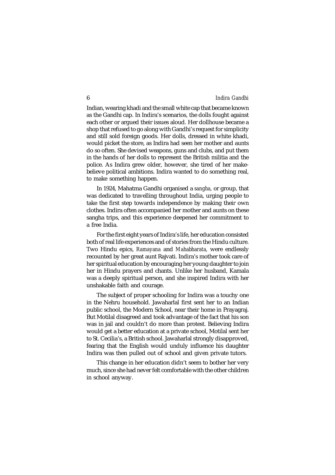Indian, wearing khadi and the small white cap that became known as the Gandhi cap. In Indira's scenarios, the dolls fought against each other or argued their issues aloud. Her dollhouse became a shop that refused to go along with Gandhi's request for simplicity and still sold foreign goods. Her dolls, dressed in white khadi, would picket the store, as Indira had seen her mother and aunts do so often. She devised weapons, guns and clubs, and put them in the hands of her dolls to represent the British militia and the police. As Indira grew older, however, she tired of her makebelieve political ambitions. Indira wanted to do something real, to make something happen.

In 1924, Mahatma Gandhi organised a *sangha,* or group, that was dedicated to travelling throughout India, urging people to take the first step towards independence by making their own clothes. Indira often accompanied her mother and aunts on these sangha trips, and this experience deepened her commitment to a free India.

For the first eight years of Indira's life, her education consisted both of real life experiences and of stories from the Hindu culture. Two Hindu epics, *Ramayana* and *Mahabharata,* were endlessly recounted by her great aunt Rajvati. Indira's mother took care of her spiritual education by encouraging her young daughter to join her in Hindu prayers and chants. Unlike her husband, Kamala was a deeply spiritual person, and she inspired Indira with her unshakable faith and courage.

The subject of proper schooling for Indira was a touchy one in the Nehru household. Jawaharlal first sent her to an Indian public school, the Modern School, near their home in Prayagraj. But Motilal disagreed and took advantage of the fact that his son was in jail and couldn't do more than protest. Believing Indira would get a better education at a private school, Motilal sent her to St. Cecilia's, a British school. Jawaharlal strongly disapproved, fearing that the English would unduly influence his daughter Indira was then pulled out of school and given private tutors.

This change in her education didn't seem to bother her very much, since she had never felt comfortable with the other children in school anyway.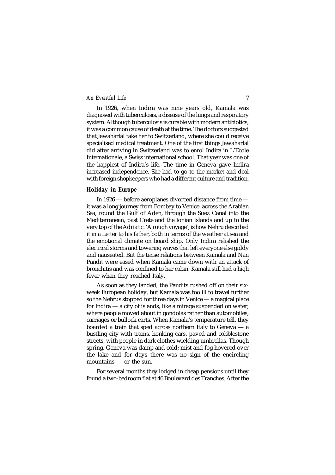In 1926, when Indira was nine years old, Kamala was diagnosed with tuberculosis, a disease of the lungs and respiratory system. Although tuberculosis is curable with modern antibiotics, it was a common cause of death at the time. The doctors suggested that Jawaharlal take her to Switzerland, where she could receive specialised medical treatment. One of the first things Jawaharlal did after arriving in Switzerland was to enrol Indira in L'Ecole Internationale, a Swiss international school. That year was one of the happiest of Indira's life. The time in Geneva gave Indira increased independence. She had to go to the market and deal with foreign shopkeepers who had a different culture and tradition.

### *Holiday in Europe*

In 1926 — before aeroplanes divorced distance from time it was a long journey from Bombay to Venice: across the Arabian Sea, round the Gulf of Aden, through the Suez Canal into the Mediterranean, past Crete and the Ionian Islands and up to the very top of the Adriatic. 'A rough voyage', is how Nehru described it in a Letter to his father, both in terms of the weather at sea and the emotional climate on board ship. Only Indira relished the electrical storms and towering waves that left everyone else giddy and nauseated. But the tense relations between Kamala and Nan Pandit were eased when Kamala came down with an attack of bronchitis and was confined to her cabin. Kamala still had a high fever when they reached Italy.

As soon as they landed, the Pandits rushed off on their sixweek European holiday, but Kamala was too ill to travel further so the Nehrus stopped for three days in Venice — a magical place for Indira — a city of islands, like a mirage suspended on water, where people moved about in gondolas rather than automobiles, carriages or bullock carts. When Kamala's temperature tell, they boarded a train that sped across northern Italy to Geneva — a bustling city with trams, honking cars, paved and cobblestone streets, with people in dark clothes wielding umbrellas. Though spring, Geneva was damp and cold; mist and fog hovered over the lake and for days there was no sign of the encircling mountains — or the sun.

For several months they lodged in cheap pensions until they found a two-bedroom flat at 46 Boulevard des Tranches. After the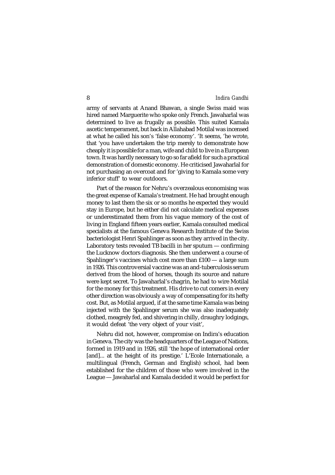army of servants at Anand Bhawan, a single Swiss maid was hired named Marguerite who spoke only French. Jawaharlal was determined to live as frugally as possible. This suited Kamala ascetic temperament, but back in Allahabad Motilal was incensed at what he called his son's 'false economy'. 'It seems, 'he wrote, that 'you have undertaken the trip merely to demonstrate how cheaply it is possible for a man, wife and child to live in a European town. It was hardly necessary to go so far afield for such a practical demonstration of domestic economy. He criticised Jawaharlal for not purchasing an overcoat and for 'giving to Kamala some very inferior stuff' to wear outdoors.

Part of the reason for Nehru's overzealous economising was the great expense of Kamala's treatment. He had brought enough money to last them the six or so months he expected they would stay in Europe, but he either did not calculate medical expenses or underestimated them from his vague memory of the cost of living in England fifteen years earlier, Kamala consulted medical specialists at the famous Geneva Research Institute of the Swiss bacteriologist Henri Spahlinger as soon as they arrived in the city. Laboratory tests revealed TB bacilli in her sputum — confirming the Lucknow doctors diagnosis. She then underwent a course of Spahlinger's vaccines which cost more than £100 — a large sum in 1926. This controversial vaccine was an and-tuberculosis serum derived from the blood of horses, though its source and nature were kept secret. To Jawaharlal's chagrin, he had to wire Motilal for the money for this treatment. His drive to cut comers in every other direction was obviously a way of compensating for its hefty cost. But, as Motilal argued, if at the same time Kamala was being injected with the Spahlinger serum she was also inadequately clothed, meagrely fed, and shivering in chilly, draughry lodgings, it would defeat 'the very object of your visit',

Nehru did not, however, compromise on Indira's education in Geneva. The city was the headquarters of the League of Nations, formed in 1919 and in 1926, still 'the hope of international order [and]... at the height of its prestige.' L'Ecole Internationale, a multilingual (French, German and English) school, had been established for the children of those who were involved in the League — Jawaharlal and Kamala decided it would be perfect for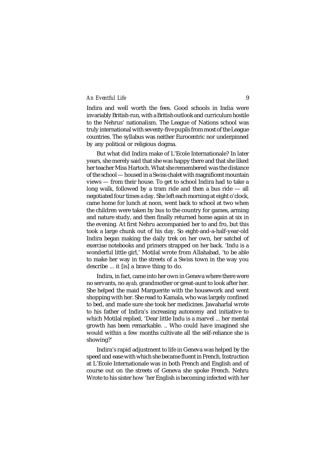Indira and well worth the fees. Good schools in India were invariably British-run, with a British outlook and curriculum hostile to the Nehrus' nationalism. The League of Nations school was truly international with seventy-five pupils from most of the League countries. The syllabus was neither Eurocentric nor underpinned by any political or religious dogma.

But what did Indira make of L'Ecole Internationale? In later years, she merely said that she was happy there and that she liked her teacher Miss Hartoch. What she remembered was the distance of the school — housed in a Swiss chalet with magnificent mountain views — from their house. To get to school Indira had to take a long walk, followed by a tram ride and then a bus ride — all negotiated four times a day. She left each morning at eight o'clock, came home for lunch at noon, went back to school at two when the children were taken by bus to the country for games, arming and nature study, and then finally returned home again at six in the evening. At first Nehru accompanied her to and fro, but this took a large chunk out of his day. So eight-and-a-half-year-old Indira began making the daily trek on her own, her satchel of exercise notebooks and primers strapped on her back. 'Indu is a wonderful little girl,' Motilal wrote from Allahabad, 'to be able to make her way in the streets of a Swiss town in the way you describe ... it [is] a brave thing to do.

Indira, in fact, came into her own in Geneva where there were no servants, no a*yab,* grandmother or great-aunt to look after her. She helped the maid Marguerite with the housework and went shopping with her. She read to Kamala, who was largely confined to bed, and made sure she took her medicines. Jawaharlal wrote to his father of Indira's increasing autonomy and initiative to which Motilal replied, 'Dear little Indu is a marvel ... her mental growth has been remarkable. .. Who could have imagined she would within a few months cultivate all the self-reliance she is showing?'

Indira's rapid adjustment to life in Geneva was helped by the speed and ease with which she became fluent in French, Instruction at L'Ecole Internationale was in both French and English and of course out on the streets of Geneva she spoke French. Nehru Wrote to his sister how 'her English is becoming infected with her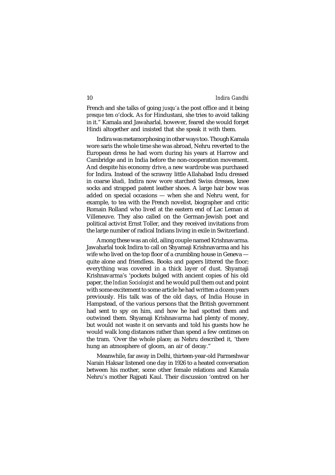French and she talks of going *jusqu'a* the post office and it being *presque* ten o'clock. As for Hindustani, she tries to avoid talking in it." Kamala and Jawaharlal, however, feared she would forget Hindi altogether and insisted that she speak it with them.

Indira was metamorphosing in other ways too. Though Kamala wore saris the whole time she was abroad, Nehru reverted to the European dress he had worn during his years at Harrow and Cambridge and in India before the non-cooperation movement. And despite his economy drive, a new wardrobe was purchased for Indira. Instead of the scrawny little Allahabad Indu dressed in coarse *khadi,* Indira now wore starched Swiss dresses, knee socks and strapped patent leather shoes. A large hair bow was added on special occasions — when she and Nehru went, for example, to tea with the French novelist, biographer and critic Romain Rolland who lived at the eastern end of Lac Leman at Villeneuve. They also called on the German-Jewish poet and political activist Ernst Toller, and they received invitations from the large number of radical Indians living in exile in Switzerland.

Among these was an old, ailing couple named Krishnavarma. Jawaharlal took Indira to call on Shyamaji Krishnavarma and his wife who lived on the top floor of a crumbling house in Geneva quite alone and friendless. Books and papers littered the floor; everything was covered in a thick layer of dust. Shyamaji Krishnavarma's 'pockets bulged with ancient copies of his old paper, the *Indian Sociologist* and he would pull them out and point with some excitement to some article he had written a dozen years previously. His talk was of the old days, of India House in Hampstead, of the various persons that the British government had sent to spy on him, and how he had spotted them and outwined them. Shyamaji Krishnavarma had plenty of money, but would not waste it on servants and told his guests how he would walk long distances rather than spend a few centimes on the tram. 'Over the whole place; as Nehru described it, 'there hung an atmosphere of gloom, an air of decay."

Meanwhile, far away in Delhi, thirteen-year-old Parmeshwar Narain Haksar listened one day in 1926 to a heated conversation between his mother, some other female relations and Kamala Nehru's mother Rajpati Kaul. Their discussion 'centred on her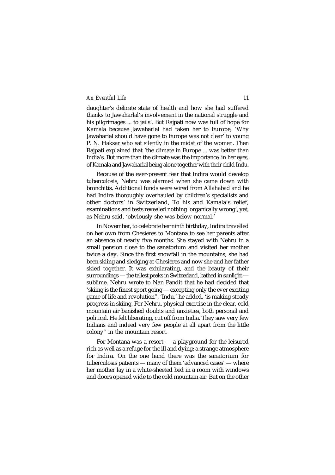daughter's delicate state of health and how she had suffered thanks to Jawaharlal's involvement in the national struggle and his pilgrimages ... to jails'. But Rajpati now was full of hope for Kamala because Jawaharlal had taken her to Europe, 'Why Jawaharlal should have gone to Europe was not clear' to young P. N. Haksar who sat silently in the midst of the women. Then Rajpati explained that 'the climate in Europe ... was better than India's. But more than the climate was the importance, in her eyes, of Kamala and Jawaharlal being alone together with their child Indu.

Because of the ever-present fear that Indira would develop tuberculosis, Nehru was alarmed when she came down with bronchitis. Additional funds were wired from Allahabad and he had Indira thoroughly overhauled by children's specialists and other doctors' in Switzerland, To his and Kamala's relief, examinations and tests revealed nothing 'organically wrong', yet, as Nehru said, 'obviously she was below normal.'

In November, to celebrate her ninth birthday, Indira travelled on her own from Chesieres to Montana to see her parents after an absence of nearly five months. She stayed with Nehru in a small pension close to the sanatorium and visited her mother twice a day. Since the first snowfall in the mountains, she had been skiing and sledging at Chesieres and now she and her father skied together. It was exhilarating, and the beauty of their surroundings — the tallest peaks in Switzerland, bathed in sunlight sublime. Nehru wrote to Nan Pandit that he had decided that 'skiing is the finest sport going — excepting only the ever exciting game of life and revolution", 'Indu,' he added, 'is making steady progress in skiing, For Nehru, physical exercise in the clear, cold mountain air banished doubts and anxieties, both personal and political. He felt liberating, cut off from India. They saw very few Indians and indeed very few people at all apart from the little colony" in the mountain resort.

For Montana was a resort — a playground for the leisured rich as well as a refuge for the ill and dying: a strange atmosphere for Indira. On the one hand there was the sanatorium for tuberculosis patients — many of them 'advanced cases' — where her mother lay in a white-sheeted bed in a room with windows and doors opened wide to the cold mountain air. But on the other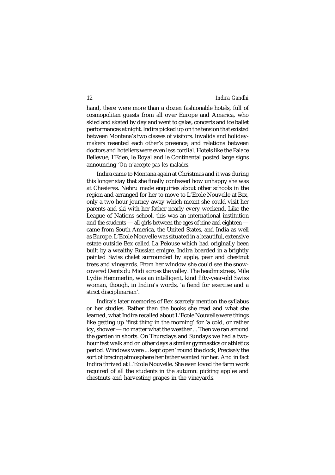hand, there were more than a dozen fashionable hotels, full of cosmopolitan guests from all over Europe and America, who skied and skated by day and went to galas, concerts and ice ballet performances at night. Indira picked up on the tension that existed between Montana's two classes of visitors. Invalids and holidaymakers resented each other's presence, and relations between doctors and hoteliers were even less cordial. Hotels like the Palace Bellevue, I'Eden, le Royal and le Continental posted large signs announcing '*On n'accepte pas les malades*.

Indira came to Montana again at Christmas and it was during this longer stay that she finally confessed how unhappy she was at Chesieres. Nehru made enquiries about other schools in the region and arranged for her to move to L'Ecole Nouvelle at Bex, only a two-hour journey away which meant she could visit her parents and ski with her father nearly every weekend. Like the League of Nations school, this was an international institution and the students — all girls between the ages of nine and eighteen came from South America, the United States, and India as well as Europe. L'Ecole Nouvelle was situated in a beautiful, extensive estate outside Bex called La Pelouse which had originally been built by a wealthy Russian emigre. Indira boarded in a brightly painted Swiss chalet surrounded by apple, pear and chestnut trees and vineyards. From her window she could see the snowcovered Dents du Midi across the valley. The headmistress, Mile Lydie Hemmerlin, was an intelligent, kind fifty-year-old Swiss woman, though, in Indira's words, 'a fiend for exercise and a strict disciplinarian'.

Indira's later memories of Bex scarcely mention the syllabus or her studies. Rather than the books she read and what she learned, what Indira recalled about L'Ecole Nouvelle were things like getting up 'first thing in the morning' for 'a cold, or rather icy, shower — no matter what the weather ... Then we ran around the garden in shorts. On Thursdays and Sundays we had a twohour fast walk and on other days a similar gymnastics or athletics period. Windows were ... kept open' round the dock, Precisely the sort of bracing atmosphere her father wanted for her. And in fact Indira thrived at L'Ecole Nouvelle. She even loved the farm work required of all the students in the autumn: picking apples and chestnuts and harvesting grapes in the vineyards.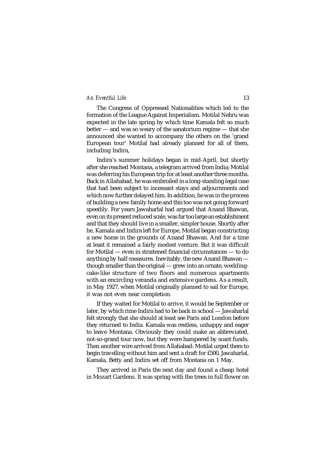The Congress of Oppressed Nationalities which led to the formation of the League Against Imperialism. Motilal Nehru was expected in the late spring by which time Kamala felt so much better — and was so weary of the sanatorium regime — that she announced she wanted to accompany the others on the 'grand European tour' Motilal had already planned for all of them, including Indira,

Indira's summer holidays began in mid-April, but shortly after she reached Montana, a telegram arrived from India; Motilal was deferring his European trip for at least another three months. Back in Allahabad, he was embroiled in a long-standing legal case that had been subject to incessant stays and adjournments and which now further delayed him. In addition, he was in the process of building a new family home and this too was not going forward speedily. For years Jawaharlal had argued that Anand Bhawan, even on its present reduced scale, was far too large an establishment and that they should live in a smaller, simpler house. Shortly after he, Kamala and Indira left for Europe, Motilal began constructing a new home in the grounds of Anand Bhawan. And for a time at least it remained a fairly modest venture. But it was difficult for Motilal — even in straitened financial circumstances — to do anything by half-measures. Inevitably, the new Anand Bhawan though smaller than the original — grew into an ornate, weddingcake-like structure of two floors and numerous apartments with an encircling veranda and extensive gardens. As a result, in May 1927, when Motilal originally planned to sail for Europe, it was not even near completion.

If they waited for Motilal to arrive, it would be September or later, by which rime Indira had to be back in school — Jawaharlal felt strongly that she should at least see Paris and London before they returned to India. Kamala was restless, unhappy and eager to leave Montana. Obviously they could make an abbreviated, not-so-grand tour now, but they were hampered by scant funds. Then another wire arrived from Allahabad: Motilal urged them to begin travelling without him and sent a draft for £500. Jawaharlal, Kamala, Betty and Indira set off from Montana on 1 May.

They arrived in Paris the next day and found a cheap hotel in Mozart Gardens. It was spring with the trees in full flower on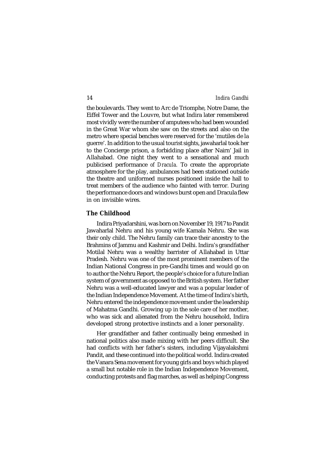the boulevards. They went to Arc de Triomphe, Notre Dame, the Eiffel Tower and the Louvre, but what Indira later remembered most vividly were the number of amputees who had been wounded in the Great War whom she saw on the streets and also on the metro where special benches were reserved for the 'mutiles de la guerre'. In addition to the usual tourist sights, jawaharlal took her to the Concierge prison, a forbidding place after Nairn' Jail in Allahabad. One night they went to a sensational and much publicised performance *of Dracula.* To create the appropriate atmosphere for the play, ambulances had been stationed outside the theatre and uniformed nurses positioned inside the hall to treat members of the audience who fainted with terror. During the performance doors and windows burst open and Dracula flew in on invisible wires.

# **The Childhood**

Indira Priyadarshini, was born on November 19, 1917 to Pandit Jawaharlal Nehru and his young wife Kamala Nehru. She was their only child. The Nehru family can trace their ancestry to the Brahmins of Jammu and Kashmir and Delhi. Indira's grandfather Motilal Nehru was a wealthy barrister of Allahabad in Uttar Pradesh. Nehru was one of the most prominent members of the Indian National Congress in pre-Gandhi times and would go on to author the Nehru Report, the people's choice for a future Indian system of government as opposed to the British system. Her father Nehru was a well-educated lawyer and was a popular leader of the Indian Independence Movement. At the time of Indira's birth, Nehru entered the independence movement under the leadership of Mahatma Gandhi. Growing up in the sole care of her mother, who was sick and alienated from the Nehru household, Indira developed strong protective instincts and a loner personality.

Her grandfather and father continually being enmeshed in national politics also made mixing with her peers difficult. She had conflicts with her father's sisters, including Vijayalakshmi Pandit, and these continued into the political world. Indira created the Vanara Sena movement for young girls and boys which played a small but notable role in the Indian Independence Movement, conducting protests and flag marches, as well as helping Congress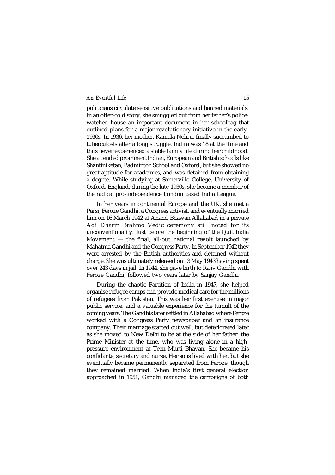politicians circulate sensitive publications and banned materials. In an often-told story, she smuggled out from her father's policewatched house an important document in her schoolbag that outlined plans for a major revolutionary initiative in the early-1930s. In 1936, her mother, Kamala Nehru, finally succumbed to tuberculosis after a long struggle. Indira was 18 at the time and thus never experienced a stable family life during her childhood. She attended prominent Indian, European and British schools like Shantiniketan, Badminton School and Oxford, but she showed no great aptitude for academics, and was detained from obtaining a degree. While studying at Somerville College, University of Oxford, England, during the late-1930s, she became a member of the radical pro-independence London based India League.

In her years in continental Europe and the UK, she met a Parsi, Feroze Gandhi, a Congress activist, and eventually married him on 16 March 1942 at Anand Bhawan Allahabad in a private Adi Dharm Brahmo Vedic ceremony still noted for its unconventionality. Just before the beginning of the Quit India Movement — the final, all-out national revolt launched by Mahatma Gandhi and the Congress Party. In September 1942 they were arrested by the British authorities and detained without charge. She was ultimately released on 13 May 1943 having spent over 243 days in jail. In 1944, she gave birth to Rajiv Gandhi with Feroze Gandhi, followed two years later by Sanjay Gandhi.

During the chaotic Partition of India in 1947, she helped organise refugee camps and provide medical care for the millions of refugees from Pakistan. This was her first exercise in major public service, and a valuable experience for the tumult of the coming years. The Gandhis later settled in Allahabad where Feroze worked with a Congress Party newspaper and an insurance company. Their marriage started out well, but deteriorated later as she moved to New Delhi to be at the side of her father, the Prime Minister at the time, who was living alone in a highpressure environment at Teen Murti Bhavan. She became his confidante, secretary and nurse. Her sons lived with her, but she eventually became permanently separated from Feroze, though they remained married. When India's first general election approached in 1951, Gandhi managed the campaigns of both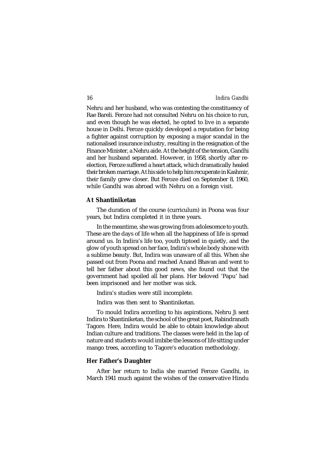Nehru and her husband, who was contesting the constituency of Rae Bareli. Feroze had not consulted Nehru on his choice to run, and even though he was elected, he opted to live in a separate house in Delhi. Feroze quickly developed a reputation for being a fighter against corruption by exposing a major scandal in the nationalised insurance industry, resulting in the resignation of the Finance Minister, a Nehru aide. At the height of the tension, Gandhi and her husband separated. However, in 1958, shortly after reelection, Feroze suffered a heart attack, which dramatically healed their broken marriage. At his side to help him recuperate in Kashmir, their family grew closer. But Feroze died on September 8, 1960, while Gandhi was abroad with Nehru on a foreign visit.

### **At Shantiniketan**

The duration of the course (curriculum) in Poona was four years, but Indira completed it in three years.

In the meantime, she was growing from adolescence to youth. These are the days of life when all the happiness of life is spread around us. In Indira's life too, youth tiptoed in quietly, and the glow of youth spread on her face, Indira's whole body shone with a sublime beauty. But, Indira was unaware of all this. When she passed out from Poona and reached Anand Bhavan and went to tell her father about this good news, she found out that the government had spoiled all her plans. Her beloved 'Papu' had been imprisoned and her mother was sick.

Indira's studies were still incomplete.

Indira was then sent to Shantiniketan.

To mould Indira according to his aspirations, Nehru Ji sent Indira to Shantiniketan, the school of the great poet, Rabindranath Tagore. Here, Indira would be able to obtain knowledge about Indian culture and traditions. The classes were held in the lap of nature and students would imbibe the lessons of life sitting under mango trees, according to Tagore's education methodology.

## **Her Father's Daughter**

After her return to India she married Feroze Gandhi, in March 1941 much against the wishes of the conservative Hindu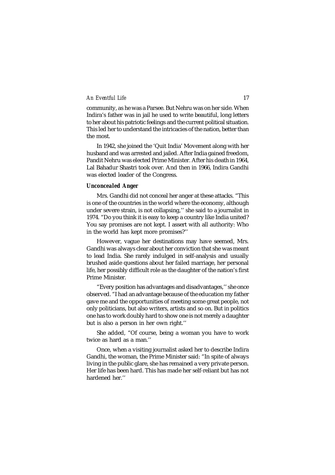community, as he was a Parsee. But Nehru was on her side. When Indira's father was in jail he used to write beautiful, long letters to her about his patriotic feelings and the current political situation. This led her to understand the intricacies of the nation, better than the most.

In 1942, she joined the 'Quit India' Movement along with her husband and was arrested and jailed. After India gained freedom, Pandit Nehru was elected Prime Minister. After his death in 1964, Lal Bahadur Shastri took over. And then in 1966, Indira Gandhi was elected leader of the Congress.

### *Unconcealed Anger*

Mrs. Gandhi did not conceal her anger at these attacks. "This is one of the countries in the world where the economy, although under severe strain, is not collapsing,'' she said to a journalist in 1974. "Do you think it is easy to keep a country like India united? You say promises are not kept. I assert with all authority: Who in the world has kept more promises?''

However, vague her destinations may have seemed, Mrs. Gandhi was always clear about her conviction that she was meant to lead India. She rarely indulged in self-analysis and usually brushed aside questions about her failed marriage, her personal life, her possibly difficult role as the daughter of the nation's first Prime Minister.

"Every position has advantages and disadvantages,'' she once observed. "I had an advantage because of the education my father gave me and the opportunities of meeting some great people, not only politicians, but also writers, artists and so on. But in politics one has to work doubly hard to show one is not merely a daughter but is also a person in her own right.''

She added, "Of course, being a woman you have to work twice as hard as a man.''

Once, when a visiting journalist asked her to describe Indira Gandhi, the woman, the Prime Minister said: "In spite of always living in the public glare, she has remained a very private person. Her life has been hard. This has made her self-reliant but has not hardened her.''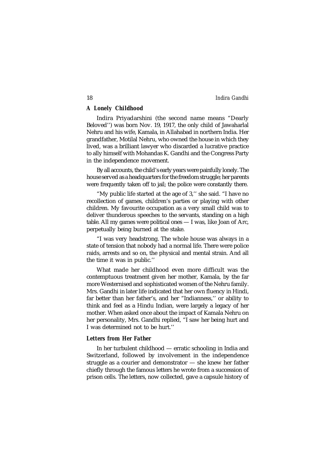### *A Lonely Childhood*

Indira Priyadarshini (the second name means "Dearly Beloved'') was born Nov. 19, 1917, the only child of Jawaharlal Nehru and his wife, Kamala, in Allahabad in northern India. Her grandfather, Motilal Nehru, who owned the house in which they lived, was a brilliant lawyer who discarded a lucrative practice to ally himself with Mohandas K. Gandhi and the Congress Party in the independence movement.

By all accounts, the child's early years were painfully lonely. The house served as a headquarters for the freedom struggle; her parents were frequently taken off to jail; the police were constantly there.

"My public life started at the age of 3,'' she said. "I have no recollection of games, children's parties or playing with other children. My favourite occupation as a very small child was to deliver thunderous speeches to the servants, standing on a high table. All my games were political ones — I was, like Joan of Arc, perpetually being burned at the stake.

"I was very headstrong. The whole house was always in a state of tension that nobody had a normal life. There were police raids, arrests and so on, the physical and mental strain. And all the time it was in public.''

What made her childhood even more difficult was the contemptuous treatment given her mother, Kamala, by the far more Westernised and sophisticated women of the Nehru family. Mrs. Gandhi in later life indicated that her own fluency in Hindi, far better than her father's, and her "Indianness,'' or ability to think and feel as a Hindu Indian, were largely a legacy of her mother. When asked once about the impact of Kamala Nehru on her personality, Mrs. Gandhi replied, "I saw her being hurt and I was determined not to be hurt.''

### *Letters from Her Father*

In her turbulent childhood — erratic schooling in India and Switzerland, followed by involvement in the independence struggle as a courier and demonstrator — she knew her father chiefly through the famous letters he wrote from a succession of prison cells. The letters, now collected, gave a capsule history of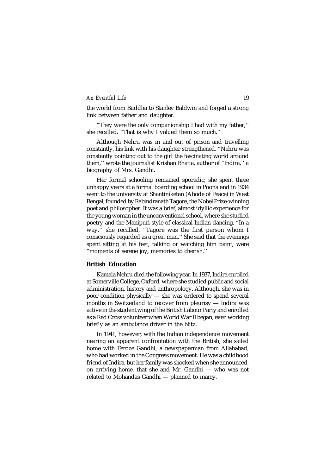the world from Buddha to Stanley Baldwin and forged a strong link between father and daughter.

"They were the only companionship I had with my father,'' she recalled. "That is why I valued them so much.''

Although Nehru was in and out of prison and travelling constantly, his link with his daughter strengthened. "Nehru was constantly pointing out to the girl the fascinating world around them,'' wrote the journalist Krishan Bhatia, author of "Indira,'' a biography of Mrs. Gandhi.

Her formal schooling remained sporadic; she spent three unhappy years at a formal boarding school in Poona and in 1934 went to the university at Shantiniketan (Abode of Peace) in West Bengal, founded by Rabindranath Tagore, the Nobel Prize-winning poet and philosopher. It was a brief, almost idyllic experience for the young woman in the unconventional school, where she studied poetry and the Manipuri style of classical Indian dancing. "In a way,'' she recalled, "Tagore was the first person whom I consciously regarded as a great man.'' She said that the evenings spent sitting at his feet, talking or watching him paint, were "moments of serene joy, memories to cherish.''

# **British Education**

Kamala Nehru died the following year. In 1937, Indira enrolled at Somerville College, Oxford, where she studied public and social administration, history and anthropology. Although, she was in poor condition physically — she was ordered to spend several months in Switzerland to recover from pleurisy — Indira was active in the student wing of the British Labour Party and enrolled as a Red Cross volunteer when World War II began, even working briefly as an ambulance driver in the blitz.

In 1941, however, with the Indian independence movement nearing an apparent confrontation with the British, she sailed home with Feroze Gandhi, a newspaperman from Allahabad, who had worked in the Congress movement. He was a childhood friend of Indira, but her family was shocked when she announced, on arriving home, that she and Mr. Gandhi — who was not related to Mohandas Gandhi — planned to marry.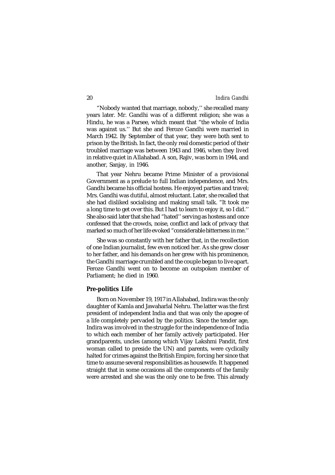"Nobody wanted that marriage, nobody,'' she recalled many years later. Mr. Gandhi was of a different religion; she was a Hindu, he was a Parsee, which meant that "the whole of India was against us.'' But she and Feroze Gandhi were married in March 1942. By September of that year, they were both sent to prison by the British. In fact, the only real domestic period of their troubled marriage was between 1943 and 1946, when they lived in relative quiet in Allahabad. A son, Rajiv, was born in 1944, and another, Sanjay, in 1946.

That year Nehru became Prime Minister of a provisional Government as a prelude to full Indian independence, and Mrs. Gandhi became his official hostess. He enjoyed parties and travel; Mrs. Gandhi was dutiful, almost reluctant. Later, she recalled that she had disliked socialising and making small talk. "It took me a long time to get over this. But I had to learn to enjoy it, so I did.'' She also said later that she had "hated'' serving as hostess and once confessed that the crowds, noise, conflict and lack of privacy that marked so much of her life evoked "considerable bitterness in me.''

She was so constantly with her father that, in the recollection of one Indian journalist, few even noticed her. As she grew closer to her father, and his demands on her grew with his prominence, the Gandhi marriage crumbled and the couple began to live apart. Feroze Gandhi went on to become an outspoken member of Parliament; he died in 1960.

## **Pre-politics Life**

Born on November 19, 1917 in Allahabad, Indira was the only daughter of Kamla and Jawaharlal Nehru. The latter was the first president of independent India and that was only the apogee of a life completely pervaded by the politics. Since the tender age, Indira was involved in the struggle for the independence of India to which each member of her family actively participated. Her grandparents, uncles (among which Vijay Lakshmi Pandit, first woman called to preside the UN) and parents, were cyclically halted for crimes against the British Empire, forcing her since that time to assume several responsibilities as housewife. It happened straight that in some occasions all the components of the family were arrested and she was the only one to be free. This already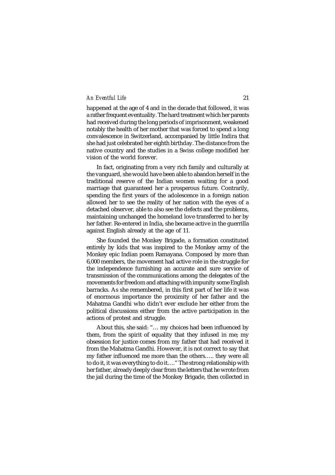happened at the age of 4 and in the decade that followed, it was a rather frequent eventuality. The hard treatment which her parents had received during the long periods of imprisonment, weakened notably the health of her mother that was forced to spend a long convalescence in Switzerland, accompanied by little Indira that she had just celebrated her eighth birthday. The distance from the native country and the studies in a Swiss college modified her vision of the world forever.

In fact, originating from a very rich family and culturally at the vanguard, she would have been able to abandon herself in the traditional reserve of the Indian women waiting for a good marriage that guaranteed her a prosperous future. Contrarily, spending the first years of the adolescence in a foreign nation allowed her to see the reality of her nation with the eyes of a detached observer, able to also see the defects and the problems, maintaining unchanged the homeland love transferred to her by her father. Re-entered in India, she became active in the guerrilla against English already at the age of 11.

She founded the Monkey Brigade, a formation constituted entirely by kids that was inspired to the Monkey army of the Monkey epic Indian poem Ramayana. Composed by more than 6,000 members, the movement had active role in the struggle for the independence furnishing an accurate and sure service of transmission of the communications among the delegates of the movements for freedom and attaching with impunity some English barracks. As she remembered, in this first part of her life it was of enormous importance the proximity of her father and the Mahatma Gandhi who didn't ever exclude her either from the political discussions either from the active participation in the actions of protest and struggle.

About this, she said: "… my choices had been influenced by them, from the spirit of equality that they infused in me; my obsession for justice comes from my father that had received it from the Mahatma Gandhi. However, it is not correct to say that my father influenced me more than the others….. they were all to do it, it was everything to do it…." The strong relationship with her father, already deeply clear from the letters that he wrote from the jail during the time of the Monkey Brigade, then collected in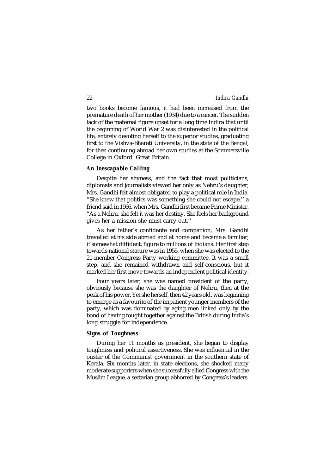two books become famous, it had been increased from the premature death of her mother (1934) due to a cancer. The sudden lack of the maternal figure upset for a long time Indira that until the beginning of World War 2 was disinterested in the political life, entirely devoting herself to the superior studies, graduating first to the Vishva-Bharati University, in the state of the Bengal, for then continuing abroad her own studies at the Sommersville College in Oxford, Great Britain.

### *An Inescapable Calling*

Despite her shyness, and the fact that most politicians, diplomats and journalists viewed her only as Nehru's daughter, Mrs. Gandhi felt almost obligated to play a political role in India. "She knew that politics was something she could not escape,'' a friend said in 1966, when Mrs. Gandhi first became Prime Minister. "As a Nehru, she felt it was her destiny. She feels her background gives her a mission she must carry out.''

As her father's confidante and companion, Mrs. Gandhi travelled at his side abroad and at home and became a familiar, if somewhat diffident, figure to millions of Indians. Her first step towards national stature was in 1955, when she was elected to the 21-member Congress Party working committee. It was a small step, and she remained withdrawn and self-conscious, but it marked her first move towards an independent political identity.

Four years later, she was named president of the party, obviously because she was the daughter of Nehru, then at the peak of his power. Yet she herself, then 42 years old, was beginning to emerge as a favourite of the impatient younger members of the party, which was dominated by aging men linked only by the bond of having fought together against the British during India's long struggle for independence.

### *Signs of Toughness*

During her 11 months as president, she began to display toughness and political assertiveness. She was influential in the ouster of the Communist government in the southern state of Kerala. Six months later, in state elections, she shocked many moderate supporters when she successfully allied Congress with the Muslim League, a sectarian group abhorred by Congress's leaders.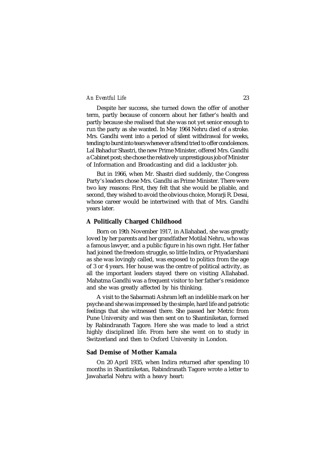Despite her success, she turned down the offer of another term, partly because of concern about her father's health and partly because she realised that she was not yet senior enough to run the party as she wanted. In May 1964 Nehru died of a stroke. Mrs. Gandhi went into a period of silent withdrawal for weeks, tending to burst into tears whenever a friend tried to offer condolences. Lal Bahadur Shastri, the new Prime Minister, offered Mrs. Gandhi a Cabinet post; she chose the relatively unprestigious job of Minister of Information and Broadcasting and did a lackluster job.

But in 1966, when Mr. Shastri died suddenly, the Congress Party's leaders chose Mrs. Gandhi as Prime Minister. There were two key reasons: First, they felt that she would be pliable, and second, they wished to avoid the obvious choice, Morarji R. Desai, whose career would be intertwined with that of Mrs. Gandhi years later.

# **A Politically Charged Childhood**

Born on 19th November 1917, in Allahabad, she was greatly loved by her parents and her grandfather Motilal Nehru, who was a famous lawyer, and a public figure in his own right. Her father had joined the freedom struggle, so little Indira, or Priyadarshani as she was lovingly called, was exposed to politics from the age of 3 or 4 years. Her house was the centre of political activity, as all the important leaders stayed there on visiting Allahabad. Mahatma Gandhi was a frequent visitor to her father's residence and she was greatly affected by his thinking.

A visit to the Sabarmati Ashram left an indelible mark on her psyche and she was impressed by the simple, hard life and patriotic feelings that she witnessed there. She passed her Metric from Pune University and was then sent on to Shantiniketan, formed by Rabindranath Tagore. Here she was made to lead a strict highly disciplined life. From here she went on to study in Switzerland and then to Oxford University in London.

### **Sad Demise of Mother Kamala**

On 20 April 1935, when Indira returned after spending 10 months in Shantiniketan, Rabindranath Tagore wrote a letter to Jawaharlal Nehru with a heavy heart: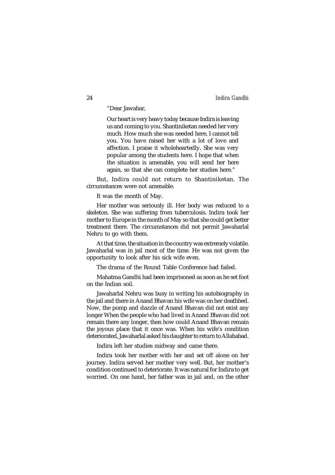"Dear Jawahar,

Our heart is very heavy today because Indira is leaving us and coming to you. Shantiniketan needed her very much. How much she was needed here, I cannot tell you. You have raised her with a lot of love and affection. I praise it wholeheartedly. She was very popular among the students here. I hope that when the situation is amenable, you will send her here again, so that she can complete her studies here."

But, Indira could not return to Shantiniketan. The circumstances were not amenable.

It was the month of May.

Her mother was seriously ill. Her body was reduced to a skeleton. She was suffering from tuberculosis. Indira took her mother to Europe in the month of May so that she could get better treatment there. The circumstances did not permit Jawaharlal Nehru to go with them.

At that time, the situation in the country was extremely volatile. Jawaharlal was in jail most of the time. He was not given the opportunity to look after his sick wife even.

The drama of the Round Table Conference had failed.

Mahatma Gandhi had been imprisoned as soon as he set foot on the Indian soil.

Jawaharlal Nehru was busy in writing his autobiography in the jail and there in Anand Bhavan his wife was on her deathbed. Now, the pomp and dazzle of Anand Bhavan did not exist any longer When the people who had lived in Anand Bhavan did not remain there any longer, then how could Anand Bhavan remain the joyous place that it once was. When his wife's condition deteriorated, Jawaharlal asked his daughter to return to Allahabad.

Indira left her studies midway and came there.

Indira took her mother with her and set off alone on her journey. Indira served her mother very well. But, her mother's condition continued to deteriorate. It was natural for Indira to get worried. On one hand, her father was in jail and, on the other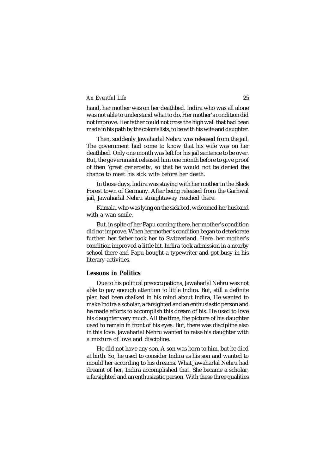hand, her mother was on her deathbed. Indira who was all alone was not able to understand what to do. Her mother's condition did not improve. Her father could not cross the high wall that had been made in his path by the colonialists, to be with his wife and daughter.

Then, suddenly Jawaharlal Nehru was released from the jail. The government had come to know that his wife was on her deathbed. Only one month was left for his jail sentence to be over. But, the government released him one month before to give proof of then 'great generosity, so that he would not be denied the chance to meet his sick wife before her death.

In those days, Indira was staying with her mother in the Black Forest town of Germany. After being released from the Garhwal jail, Jawaharlal Nehru straightaway reached there.

Kamala, who was lying on the sick bed, welcomed her husband with a wan smile.

But, in spite of her Papu coming there, her mother's condition did not improve. When her mother's condition began to deteriorate further, her father took her to Switzerland. Here, her mother's condition improved a little bit. Indira took admission in a nearby school there and Papu bought a typewriter and got busy in his literary activities.

### **Lessons in Politics**

Due to his political preoccupations, Jawaharlal Nehru was not able to pay enough attention to little Indira. But, still a definite plan had been chalked in his mind about Indira, He wanted to make Indira a scholar, a farsighted and an enthusiastic person and he made efforts to accomplish this dream of his. He used to love his daughter very much. All the time, the picture of his daughter used to remain in front of his eyes. But, there was discipline also in this love. Jawaharlal Nehru wanted to raise his daughter with a mixture of love and discipline.

He did not have any son, A son was born to him, but be died at birth. So, he used to consider Indira as his son and wanted to mould her according to his dreams. What Jawaharlal Nehru had dreamt of her, Indira accomplished that. She became a scholar, a farsighted and an enthusiastic person. With these three qualities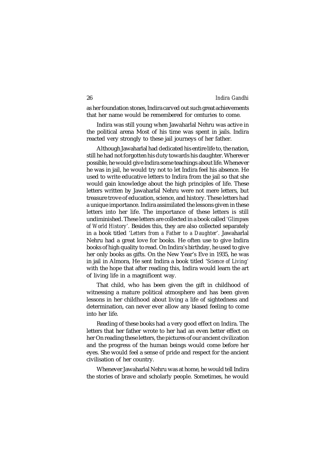as her foundation stones, Indira carved out such great achievements that her name would be remembered for centuries to come.

Indira was still young when Jawaharlal Nehru was active in the political arena Most of his time was spent in jails. Indira reacted very strongly to these jail journeys of her father.

Although Jawaharlal had dedicated his entire life to, the nation, still he had not forgotten his duty towards his daughter. Wherever possible, he would give Indira some teachings about life. Whenever he was in jail, he would try not to let Indira feel his absence. He used to write educative letters to Indira from the jail so that she would gain knowledge about the high principles of life. These letters written by Jawaharlal Nehru were not mere letters, but treasure trove of education, science, and history. These letters had a unique importance. Indira assimilated the lessons given in these letters into her life. The importance of these letters is still undiminished. These letters are collected in a book called *'Glimpses of World History'.* Besides this, they are also collected separately in a book titled *'Letters from a Father to a Daughter'.* Jawaharlal Nehru had a great love for books. He often use to give Indira books of high quality to read. On Indira's birthday, he used to give her only books as gifts. On the New Year's Eve in 1935, he was in jail in Almora, He sent Indira a book titled '*Science of Living'* with the hope that after reading this, Indira would learn the art of living life in a magnificent way.

That child, who has been given the gift in childhood of witnessing a mature political atmosphere and has been given lessons in her childhood about living a life of sightedness and determination, can never ever allow any biased feeling to come into her life.

Reading of these books had a very good effect on Indira. The letters that her father wrote to her had an even better effect on her On reading these letters, the pictures of our ancient civilization and the progress of the human beings would come before her eyes. She would feel a sense of pride and respect for the ancient civilisation of her country.

Whenever Jawaharlal Nehru was at home, he would tell Indira the stories of brave and scholarly people. Sometimes, he would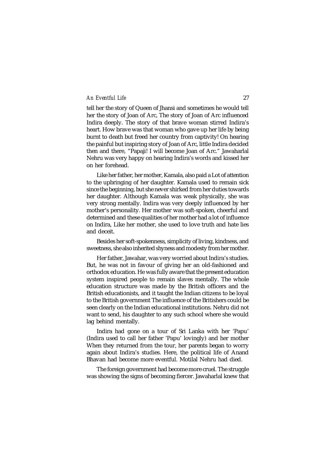tell her the story of Queen of Jhansi and sometimes he would tell her the story of Joan of Arc, The story of Joan of Arc influenced Indira deeply. The story of that brave woman stirred Indira's heart. How brave was that woman who gave up her life by being burnt to death but freed her country from captivity! On hearing the painful but inspiring story of Joan of Arc, little Indira decided then and there, "Papaji! I will become Joan of Arc." Jawaharlal Nehru was very happy on hearing Indira's words and kissed her on her forehead.

Like her father, her mother, Kamala, also paid a Lot of attention to the upbringing of her daughter. Kamala used to remain sick since the beginning, but she never shirked from her duties towards her daughter. Although Kamala was weak physically, she was very strong mentally. Indira was very deeply influenced by her mother's personality. Her mother was soft-spoken, cheerful and determined and these qualities of her mother had a lot of influence on Indira, Like her mother, she used to love truth and hate lies and deceit.

Besides her soft-spokenness, simplicity of living, kindness, and sweetness, she also inherited shyness and modesty from her mother.

Her father, Jawahar, was very worried about Indira's studies. But, he was not in favour of giving her an old-fashioned and orthodox education. He was fully aware that the present education system inspired people to remain slaves mentally. The whole education structure was made by the British officers and the British educationists, and it taught the Indian citizens to be loyal to the British government The influence of the Britishers could be seen clearly on the Indian educational institutions. Nehru did not want to send, his daughter to any such school where she would lag behind mentally.

Indira had gone on a tour of Sri Lanka with her 'Papu' (Indira used to call her father 'Papu' lovingly) and her mother When they returned from the tour, her parents began to worry again about Indira's studies. Here, the political life of Anand Bhavan had become more eventful. Motilal Nehru had died.

The foreign government had become more cruel. The struggle was showing the signs of becoming fiercer. Jawaharlal knew that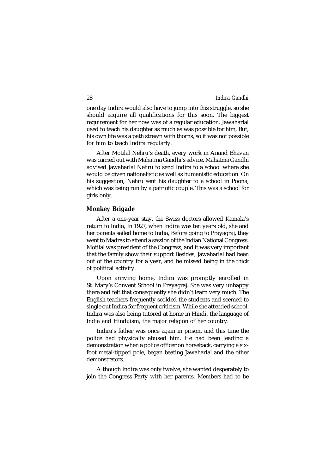one day Indira would also have to jump into this struggle, so she should acquire all qualifications for this soon. The biggest requirement for her now was of a regular education. Jawaharlal used to teach his daughter as much as was possible for him, But, his own life was a path strewn with thorns, so it was not possible for him to teach Indira regularly.

After Motilal Nehru's death, every work in Anand Bhavan was carried out with Mahatma Gandhi's advice. Mahatma Gandhi advised Jawaharlal Nehru to send Indira to a school where she would be given nationalistic as well as humanistic education. On his suggestion, Nehru sent his daughter to a school in Poona, which was being run by a patriotic couple. This was a school for girls only.

### **Monkey Brigade**

After a one-year stay, the Swiss doctors allowed Kamala's return to India, In 1927, when Indira was ten years old, she and her parents sailed home to India, Before going to Prayagraj, they went to Madras to attend a session of the Indian National Congress. Motilal was president of the Congress, and it was very important that the family show their support Besides, Jawaharlal had been out of the country for a year, and he missed being in the thick of political activity.

Upon arriving home, Indira was promptly enrolled in St. Mary's Convent School in Prayagraj. She was very unhappy there and felt that consequently she didn't learn very much. The English teachers frequently scolded the students and seemed to single out Indira for frequent criticism. While she attended school, Indira was also being tutored at home in Hindi, the language of India and Hinduism, the major religion of her country.

Indira's father was once again in prison, and this time the police had physically abused him. He had been leading a demonstration when a police officer on horseback, carrying a sixfoot metal-tipped pole, began beating Jawaharlal and the other demonstrators.

Although Indira was only twelve, she wanted desperately to join the Congress Party with her parents. Members had to be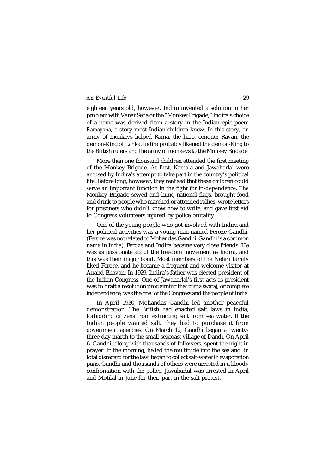eighteen years old, however. Indira invented a solution to her problem with Vanar Sena or the "Monkey Brigade," Indira's choice of a name was derived from a story in the Indian epic poem *Ramayana,* a story most Indian children knew. In this story, an army of monkeys helped Rama, the hero, conquer Ravan, the demon-King of Lanka. Indira probably likened the demon-King to the British rulers and the army of monkeys to the Monkey Brigade.

More than one thousand children attended the first meeting of the Monkey Brigade. At first, Kamala and Jawaharlal were amused by Indira's attempt to take part in the country's political life. Before long, however, they realised that these children could serve an important function in the fight for in-dependence. The Monkey Brigade sewed and hung national flags, brought food and drink to people who marched or attended rallies, wrote letters for prisoners who didn't know how to write, and gave first aid to Congress volunteers injured by police brutality.

One of the young people who got involved with Indira and her political activities was a young man named Feroze Gandhi. (Feroze was not related to Mohandas Gandhi. Gandhi is a common name in India). Feroze and Indira became very close friends. He was as passionate about the freedom movement as Indira, and this was their major bond. Most members of the Nehru family liked Ferore, and he became a frequent and welcome visitor at Anand Bhavan. In 1929, Indira's father was elected president of the Indian Congress, One of Jawaharlal's first acts as president was to draft a resolution proclaiming that *purna swaraj,* or complete independence, was the goal of the Congress and the people of India.

In April 1930, Mohandas Gandhi led another peaceful demonstration. The British had enacted salt laws in India, forbidding citizens from extracting salt from sea water. If the Indian people wanted salt, they had to purchase it from government agencies. On March 12, Gandhi began a twentythree-day march to the small seacoast village of Dandi. On April 6, Gandhi, along with thousands of followers, spent the night in prayer. In the morning, he led the multitude into the sea and, in total disregard for the law, began to collect salt-water in evaporation pans. Gandhi and thousands of others were arrested in a bloody confrontation with the police, Jawaharlal was arrested in April and Motilal in June for their part in the salt protest.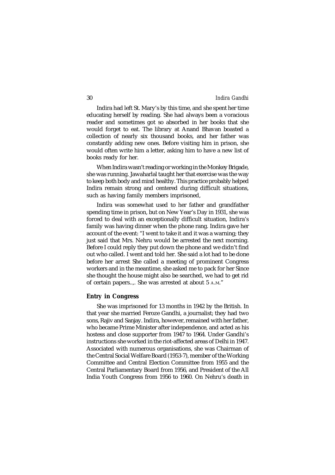Indira had left St. Mary's by this time, and she spent her time educating herself by reading. She had always been a voracious reader and sometimes got so absorbed in her books that she would forget to eat. The library at Anand Bhavan boasted a collection of nearly six thousand books, and her father was constantly adding new ones. Before visiting him in prison, she would often write him a letter, asking him to have a new list of books ready for her.

When Indira wasn't reading or working in the Monkey Brigade, she was running. Jawaharlal taught her that exercise was the way to keep both body and mind healthy. This practice probably helped Indira remain strong and centered during difficult situations, such as having family members imprisoned,

Indira was somewhat used to her father and grandfather spending time in prison, but on New Year's Day in 1931, she was forced to deal with an exceptionally difficult situation, Indira's family was having dinner when the phone rang. Indira gave her account of the event: "I went to take it and it was a warning; they just said that Mrs. Nehru would be arrested the next morning. Before I could reply they put down the phone and we didn't find out who called. I went and told her. She said a lot had to be done before her arrest She called a meeting of prominent Congress workers and in the meantime, she asked me to pack for her Since she thought the house might also be searched, we had to get rid of certain papers..,. She was arrested at about 5 A.M."

### **Entry in Congress**

She was imprisoned for 13 months in 1942 by the British. In that year she married Feroze Gandhi, a journalist; they had two sons, Rajiv and Sanjay. Indira, however, remained with her father, who became Prime Minister after independence, and acted as his hostess and close supporter from 1947 to 1964. Under Gandhi's instructions she worked in the riot-affected areas of Delhi in 1947. Associated with numerous organisations, she was Chairman of the Central Social Welfare Board (1953-7), member of the Working Committee and Central Election Committee from 1955 and the Central Parliamentary Board from 1956, and President of the All India Youth Congress from 1956 to 1960. On Nehru's death in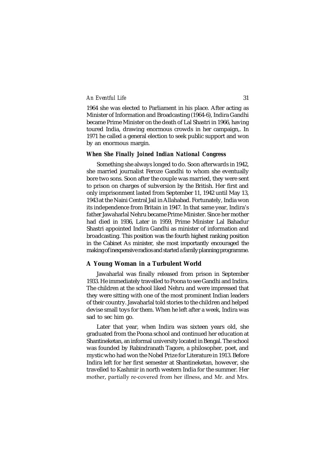1964 she was elected to Parliament in his place. After acting as Minister of Information and Broadcasting (1964-6), Indira Gandhi became Prime Minister on the death of Lal Shastri in 1966, having toured India, drawing enormous crowds in her campaign,. In 1971 he called a general election to seek public support and won by an enormous margin.

### *When She Finally Joined Indian National Congress*

Something she always longed to do. Soon afterwards in 1942, she married journalist Feroze Gandhi to whom she eventually bore two sons. Soon after the couple was married, they were sent to prison on charges of subversion by the British. Her first and only imprisonment lasted from September 11, 1942 until May 13, 1943 at the Naini Central Jail in Allahabad. Fortunately, India won its independence from Britain in 1947. In that same year, Indira's father Jawaharlal Nehru became Prime Minister. Since her mother had died in 1936, Later in 1959, Prime Minister Lal Bahadur Shastri appointed Indira Gandhi as minister of information and broadcasting. This position was the fourth highest ranking position in the Cabinet As minister, she most importantly encouraged the making of inexpensive radios and started a family planning programme.

### **A Young Woman in a Turbulent World**

Jawaharlal was finally released from prison in September 1933. He immediately travelled to Poona to see Gandhi and Indira. The children at the school liked Nehru and were impressed that they were sitting with one of the most prominent Indian leaders of their country. Jawaharlal told stories to the children and helped devise small toys for them. When he left after a week, Indira was sad to sec him go.

Later that year, when Indira was sixteen years old, she graduated from the Poona school and continued her education at Shantineketan, an informal university located in Bengal. The school was founded by Rabindranath Tagore, a philosopher, poet, and mystic who had won the Nobel Prize for Literature in 1913. Before Indira left for her first semester at Shantineketan, however, she travelled to Kashmir in north western India for the summer. Her mother, partially re-covered from her illness, and Mr. and Mrs.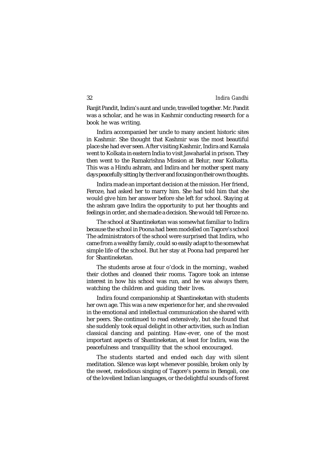Ranjit Pandit, Indira's aunt and uncle, travelled together. Mr. Pandit was a scholar, and he was in Kashmir conducting research for a book he was writing.

Indira accompanied her uncle to many ancient historic sites in Kashmir. She thought that Kashmir was the most beautiful place she had ever seen. After visiting Kashmir, Indira and Kamala went to Kolkata in eastern India to visit Jawaharlal in prison. They then went to the Ramakrishna Mission at Belur, near Kolkatta. This was a Hindu ashram, and Indira and her mother spent many days peacefully sitting by the river and focusing on their own thoughts.

Indira made an important decision at the mission. Her friend, Feroze, had asked her to marry him. She had told him that she would give him her answer before she left for school. Staying at the ashram gave Indira the opportunity to put her thoughts and feelings in order, and she made a decision. She would tell Feroze no.

The school at Shantineketan was somewhat familiar to Indira because the school in Poona had been modelled on Tagore's school The administrators of the school were surprised that Indira, who came from a wealthy family, could so easily adapt to the somewhat simple life of the school. But her stay at Poona had prepared her for Shantineketan.

The students arose at four o'clock in the morning:, washed their clothes and cleaned their rooms. Tagore took an intense interest in how his school was run, and he was always there, watching the children and guiding their lives.

Indira found companionship at Shantineketan with students her own age. This was a new experience for her, and she revealed in the emotional and intellectual communication she shared with her peers. She continued to read extensively, but she found that she suddenly took equal delight in other activities, such as Indian classical dancing and painting. Haw-ever, one of the most important aspects of Shantineketan, at least for Indira, was the peacefulness and tranquillity that the school encouraged.

The students started and ended each day with silent meditation. Silence was kept whenever possible, broken only by the sweet, melodious singing of Tagore's poems in Bengali, one of the loveliest Indian languages, or the delightful sounds of forest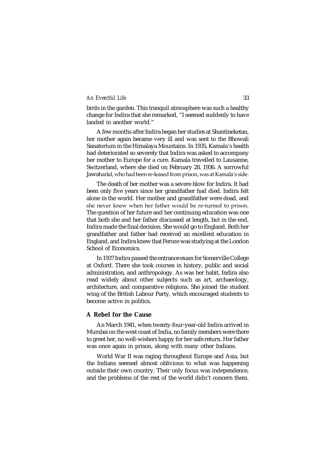birds in the garden. This tranquil atmosphere was such a healthy change for Indira that she remarked, "I seemed suddenly to have landed in another world."

A few months after Indira began her studies at Shantineketan, her mother again became very ill and was sent to the Bhowali Sanatorium in the Himalaya Mountains. In 1935, Kamala's health had deteriorated so severely that Indira was asked to accompany her mother to Europe for a cure. Kamala travelled to Lausanne, Switzerland, where she died on February 28, 1936. A sorrowful Jawaharlal, who had been re-leased from prison, was at Kamala's side.

The death of her mother was a severe blow for Indira. It had been only five years since her grandfather had died. Indira felt alone in the world. Her mother and grandfather were dead, and she never knew when her father would be re-turned to prison. The question of her future and her continuing education was one that both she and her father discussed at length, but in the end, Indira made the final decision. She would go to England. Both her grandfather and father had received an excellent education in England, and Indira knew that Feroze was studying at the London School of Economics.

In 1937 Indira passed the entrance exam for Somerville College at Oxford. There she took courses in history, public and social administration, and anthropology. As was her habit, Indira also read widely about other subjects such as art, archaeology, architecture, and comparative religions. She joined the student wing of the British Labour Party, which encouraged students to become active in politics.

### **A Rebel for the Cause**

An March 1941, when twenty-four-year-old Indira arrived in Mumbai on the west coast of India, no family members were there to greet her, no well-wishers happy for her safe return. Her father was once again in prison, along with many other Indians.

World War II was raging throughout Europe and Asia, but the Indians seemed almost oblivious to what was happening outside their own country. Their only focus was independence, and the problems of the rest of the world didn't concern them.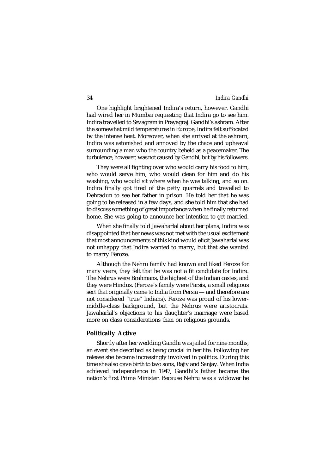One highlight brightened Indira's return, however. Gandhi had wired her in Mumbai requesting that Indira go to see him. Indira travelled to Sevagram in Prayagraj. Gandhi's ashram. After the somewhat mild temperatures in Europe, Indira felt suffocated by the intense heat. Moreover, when she arrived at the ashrarn, Indira was astonished and annoyed by the chaos and upheaval surrounding a man who the country beheld as a peacemaker. The turbulence, however, was not caused by Gandhi, but by his followers.

They were all fighting over who would carry his food to him, who would serve him, who would clean for him and do his washing, who would sit where when he was talking, and so on. Indira finally got tired of the petty quarrels and travelled to Dehradun to see her father in prison. He told her that he was going to be released in a few days, and she told him that she had to discuss something of great importance when he finally returned home. She was going to announce her intention to get married.

When she finally told Jawaharlal about her plans, Indira was disappointed that her news was not met with the usual excitement that most announcements of this kind would elicit Jawaharlal was not unhappy that Indira wanted to marry, but that she wanted to marry Feroze.

Although the Nehru family had known and liked Feroze for many years, they felt that he was not a fit candidate for Indira. The Nehrus were Brahmans, the highest of the Indian castes, and they were Hindus. (Feroze's family were Parsis, a small religious sect that originally came to India from Persia — and therefore are not considered "true" Indians). Feroze was proud of his lowermiddle-class background, but the Nehrus were aristocrats. Jawaharlal's objections to his daughter's marriage were based more on class considerations than on religious grounds.

# **Politically Active**

Shortly after her wedding Gandhi was jailed for nine months, an event she described as being crucial in her life. Following her release she became increasingly involved in politics. During this time she also gave birth to two sons, Rajiv and Sanjay. When India achieved independence in 1947, Gandhi's father became the nation's first Prime Minister. Because Nehru was a widower he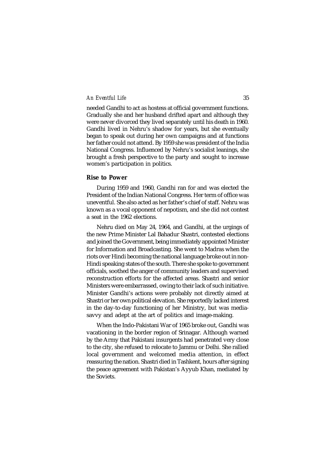needed Gandhi to act as hostess at official government functions. Gradually she and her husband drifted apart and although they were never divorced they lived separately until his death in 1960. Gandhi lived in Nehru's shadow for years, but she eventually began to speak out during her own campaigns and at functions her father could not attend. By 1959 she was president of the India National Congress. Influenced by Nehru's socialist leanings, she brought a fresh perspective to the party and sought to increase women's participation in politics.

### **Rise to Power**

During 1959 and 1960, Gandhi ran for and was elected the President of the Indian National Congress. Her term of office was uneventful. She also acted as her father's chief of staff. Nehru was known as a vocal opponent of nepotism, and she did not contest a seat in the 1962 elections.

Nehru died on May 24, 1964, and Gandhi, at the urgings of the new Prime Minister Lal Bahadur Shastri, contested elections and joined the Government, being immediately appointed Minister for Information and Broadcasting. She went to Madras when the riots over Hindi becoming the national language broke out in non-Hindi speaking states of the south. There she spoke to government officials, soothed the anger of community leaders and supervised reconstruction efforts for the affected areas. Shastri and senior Ministers were embarrassed, owing to their lack of such initiative. Minister Gandhi's actions were probably not directly aimed at Shastri or her own political elevation. She reportedly lacked interest in the day-to-day functioning of her Ministry, but was mediasavvy and adept at the art of politics and image-making.

When the Indo-Pakistani War of 1965 broke out, Gandhi was vacationing in the border region of Srinagar. Although warned by the Army that Pakistani insurgents had penetrated very close to the city, she refused to relocate to Jammu or Delhi. She rallied local government and welcomed media attention, in effect reassuring the nation. Shastri died in Tashkent, hours after signing the peace agreement with Pakistan's Ayyub Khan, mediated by the Soviets.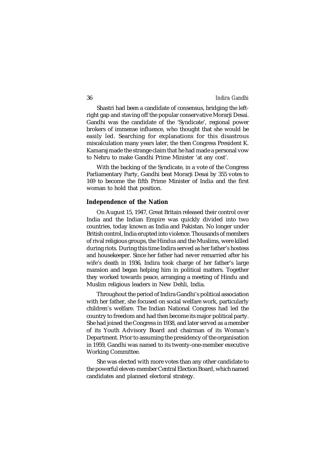Shastri had been a candidate of consensus, bridging the leftright gap and staving off the popular conservative Morarji Desai. Gandhi was the candidate of the 'Syndicate', regional power brokers of immense influence, who thought that she would be easily led. Searching for explanations for this disastrous miscalculation many years later, the then Congress President K. Kamaraj made the strange claim that he had made a personal vow to Nehru to make Gandhi Prime Minister 'at any cost'.

With the backing of the Syndicate, in a vote of the Congress Parliamentary Party, Gandhi beat Morarji Desai by 355 votes to 169 to become the fifth Prime Minister of India and the first woman to hold that position.

## **Independence of the Nation**

On August 15, 1947, Great Britain released their control over India and the Indian Empire was quickly divided into two countries, today known as India and Pakistan. No longer under British control, India erupted into violence. Thousands of members of rival religious groups, the Hindus and the Muslims, were killed during riots. During this time Indira served as her father's hostess and housekeeper. Since her father had never remarried after his wife's death in 1936, Indira took charge of her father's large mansion and began helping him in political matters. Together they worked towards peace, arranging a meeting of Hindu and Muslim religious leaders in New Dehli, India.

Throughout the period of Indira Gandhi's political association with her father, she focused on social welfare work, particularly children's welfare. The Indian National Congress had led the country to freedom and had then become its major political party. She had joined the Congress in 1938, and later served as a member of its Youth Advisory Board and chairman of its Woman's Department. Prior to assuming the presidency of the organisation in 1959, Gandhi was named to its twenty-one-member executive Working Committee.

She was elected with more votes than any other candidate to the powerful eleven-member Central Election Board, which named candidates and planned electoral strategy.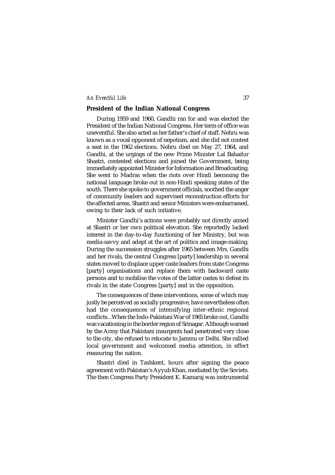### **President of the Indian National Congress**

During 1959 and 1960, Gandhi ran for and was elected the President of the Indian National Congress. Her term of office was uneventful. She also acted as her father's chief of staff. Nehru was known as a vocal opponent of nepotism, and she did not contest a seat in the 1962 elections. Nehru died on May 27, 1964, and Gandhi, at the urgings of the new Prime Minister Lal Bahadur Shastri, contested elections and joined the Government, being immediately appointed Minister for Information and Broadcasting. She went to Madras when the riots over Hindi becoming the national language broke out in non-Hindi speaking states of the south. There she spoke to government officials, soothed the anger of community leaders and supervised reconstruction efforts for the affected areas. Shastri and senior Ministers were embarrassed, owing to their lack of such initiative.

Minister Gandhi's actions were probably not directly aimed at Shastri or her own political elevation. She reportedly lacked interest in the day-to-day functioning of her Ministry, but was media-savvy and adept at the art of politics and image-making. During the succession struggles after 1965 between Mrs. Gandhi and her rivals, the central Congress [party] leadership in several states moved to displace upper caste leaders from state Congress [party] organisations and replace them with backward caste persons and to mobilise the votes of the latter castes to defeat its rivals in the state Congress [party] and in the opposition.

The consequences of these interventions, some of which may justly be perceived as socially progressive, have nevertheless often had the consequences of intensifying inter-ethnic regional conflicts...When the Indo-Pakistani War of 1965 broke out, Gandhi was vacationing in the border region of Srinagar. Although warned by the Army that Pakistani insurgents had penetrated very close to the city, she refused to relocate to Jammu or Delhi. She rallied local government and welcomed media attention, in effect reassuring the nation.

Shastri died in Tashkent, hours after signing the peace agreement with Pakistan's Ayyub Khan, mediated by the Soviets. The then Congress Party President K. Kamaraj was instrumental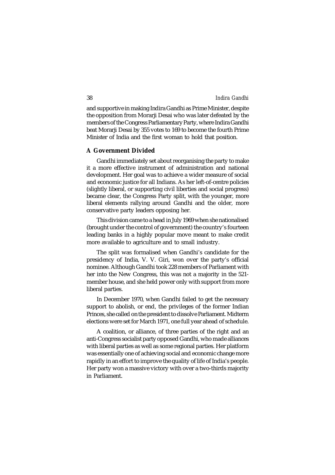and supportive in making Indira Gandhi as Prime Minister, despite the opposition from Morarji Desai who was later defeated by the members of the Congress Parliamentary Party, where Indira Gandhi beat Morarji Desai by 355 votes to 169 to become the fourth Prime Minister of India and the first woman to hold that position.

### **A Government Divided**

Gandhi immediately set about reorganising the party to make it a more effective instrument of administration and national development. Her goal was to achieve a wider measure of social and economic justice for all Indians. As her left-of-centre policies (slightly liberal, or supporting civil liberties and social progress) became clear, the Congress Party split, with the younger, more liberal elements rallying around Gandhi and the older, more conservative party leaders opposing her.

This division came to a head in July 1969 when she nationalised (brought under the control of government) the country's fourteen leading banks in a highly popular move meant to make credit more available to agriculture and to small industry.

The split was formalised when Gandhi's candidate for the presidency of India, V. V. Giri, won over the party's official nominee. Although Gandhi took 228 members of Parliament with her into the New Congress, this was not a majority in the 521 member house, and she held power only with support from more liberal parties.

In December 1970, when Gandhi failed to get the necessary support to abolish, or end, the privileges of the former Indian Princes, she called on the president to dissolve Parliament. Midterm elections were set for March 1971, one full year ahead of schedule.

A coalition, or alliance, of three parties of the right and an anti-Congress socialist party opposed Gandhi, who made alliances with liberal parties as well as some regional parties. Her platform was essentially one of achieving social and economic change more rapidly in an effort to improve the quality of life of India's people. Her party won a massive victory with over a two-thirds majority in Parliament.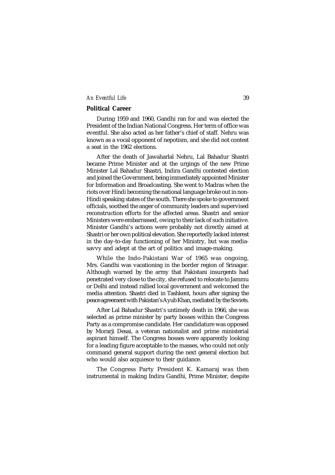### **Political Career**

During 1959 and 1960, Gandhi ran for and was elected the President of the Indian National Congress. Her term of office was eventful. She also acted as her father's chief of staff. Nehru was known as a vocal opponent of nepotism, and she did not contest a seat in the 1962 elections.

After the death of Jawaharlal Nehru, Lal Bahadur Shastri became Prime Minister and at the urgings of the new Prime Minister Lal Bahadur Shastri, Indira Gandhi contested election and joined the Government, being immediately appointed Minister for Information and Broadcasting. She went to Madras when the riots over Hindi becoming the national language broke out in non-Hindi speaking states of the south. There she spoke to government officials, soothed the anger of community leaders and supervised reconstruction efforts for the affected areas. Shastri and senior Ministers were embarrassed, owing to their lack of such initiative. Minister Gandhi's actions were probably not directly aimed at Shastri or her own political elevation. She reportedly lacked interest in the day-to-day functioning of her Ministry, but was mediasavvy and adept at the art of politics and image-making.

While the Indo-Pakistani War of 1965 was ongoing, Mrs. Gandhi was vacationing in the border region of Srinagar. Although warned by the army that Pakistani insurgents had penetrated very close to the city, she refused to relocate to Jammu or Delhi and instead rallied local government and welcomed the media attention. Shastri died in Tashkent, hours after signing the peace agreement with Pakistan's Ayub Khan, mediated by the Soviets.

After Lal Bahadur Shastri's untimely death in 1966, she was selected as prime minister by party bosses within the Congress Party as a compromise candidate. Her candidature was opposed by Morarji Desai, a veteran nationalist and prime ministerial aspirant himself. The Congress bosses were apparently looking for a leading figure acceptable to the masses, who could not only command general support during the next general election but who would also acquiesce to their quidance.

The Congress Party President K. Kamaraj was then instrumental in making Indira Gandhi, Prime Minister, despite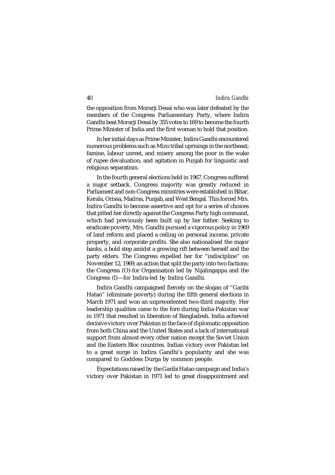the opposition from Morarji Desai who was later defeated by the members of the Congress Parliamentary Party, where Indira Gandhi beat Morarji Desai by 355 votes to 169 to become the fourth Prime Minister of India and the first woman to hold that position.

In her initial days as Prime Minister, Indira Gandhi encountered numerous problems such as Mizo tribal uprisings in the northeast; famine, labour unrest, and misery among the poor in the wake of rupee devaluation; and agitation in Punjab for linguistic and religious separatism.

In the fourth general elections held in 1967, Congress suffered a major setback. Congress majority was greatly reduced in Parliament and non-Congress ministries were established in Bihar, Kerala, Orissa, Madras, Punjab, and West Bengal. This forced Mrs. Indira Gandhi to become assertive and opt for a series of choices that pitted her directly against the Congress Party high command, which had previously been built up by her father. Seeking to eradicate poverty, Mrs. Gandhi pursued a vigorous policy in 1969 of land reform and placed a ceiling on personal income, private property, and corporate profits. She also nationalised the major banks, a bold step amidst a growing rift between herself and the party elders. The Congress expelled her for "indiscipline" on November 12, 1969, an action that split the party into two factions: the Congress (O)-for Organisation led by Nijalingappa and the Congress (I)—for Indira-led by Indira Gandhi.

Indira Gandhi campaigned fiercely on the slogan of "Garibi Hatao" (eliminate poverty) during the fifth general elections in March 1971 and won an unprecedented two-third majority. Her leadership qualities came to the fore during India-Pakistan war in 1971 that resulted in liberation of Bangladesh. India achieved decisive victory over Pakistan in the face of diplomatic opposition from both China and the United States and a lack of international support from almost every other nation except the Soviet Union and the Eastern Bloc countries. Indian victory over Pakistan led to a great surge in Indira Gandhi's popularity and she was compared to Goddess Durga by common people.

Expectations raised by the Garibi Hatao campaign and India's victory over Pakistan in 1971 led to great disappointment and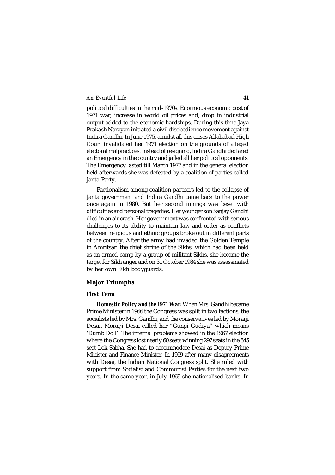political difficulties in the mid-1970s. Enormous economic cost of 1971 war, increase in world oil prices and, drop in industrial output added to the economic hardships. During this time Jaya Prakash Narayan initiated a civil disobedience movement against Indira Gandhi. In June 1975, amidst all this crises Allahabad High Court invalidated her 1971 election on the grounds of alleged electoral malpractices. Instead of resigning, Indira Gandhi declared an Emergency in the country and jailed all her political opponents. The Emergency lasted till March 1977 and in the general election held afterwards she was defeated by a coalition of parties called Janta Party.

Factionalism among coalition partners led to the collapse of Janta government and Indira Gandhi came back to the power once again in 1980. But her second innings was beset with difficulties and personal tragedies. Her younger son Sanjay Gandhi died in an air crash. Her government was confronted with serious challenges to its ability to maintain law and order as conflicts between religious and ethnic groups broke out in different parts of the country. After the army had invaded the Golden Temple in Amritsar, the chief shrine of the Sikhs, which had been held as an armed camp by a group of militant Sikhs, she became the target for Sikh anger and on 31 October 1984 she was assassinated by her own Sikh bodyguards.

# **Major Triumphs**

# *First Term*

*Domestic Policy and the 1971 War:* When Mrs. Gandhi became Prime Minister in 1966 the Congress was split in two factions, the socialists led by Mrs. Gandhi, and the conservatives led by Morarji Desai. Morarji Desai called her "Gungi Gudiya" which means 'Dumb Doll'. The internal problems showed in the 1967 election where the Congress lost nearly 60 seats winning 297 seats in the 545 seat Lok Sabha. She had to accommodate Desai as Deputy Prime Minister and Finance Minister. In 1969 after many disagreements with Desai, the Indian National Congress split. She ruled with support from Socialist and Communist Parties for the next two years. In the same year, in July 1969 she nationalised banks. In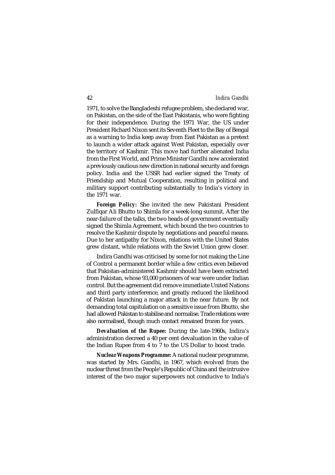1971, to solve the Bangladeshi refugee problem, she declared war, on Pakistan, on the side of the East Pakistanis, who were fighting for their independence. During the 1971 War, the US under President Richard Nixon sent its Seventh Fleet to the Bay of Bengal as a warning to India keep away from East Pakistan as a pretext to launch a wider attack against West Pakistan, especially over the territory of Kashmir. This move had further alienated India from the First World, and Prime Minister Gandhi now accelerated a previously cautious new direction in national security and foreign policy. India and the USSR had earlier signed the Treaty of Friendship and Mutual Cooperation, resulting in political and military support contributing substantially to India's victory in the 1971 war.

*Foreign Policy:* She invited the new Pakistani President Zulfiqar Ali Bhutto to Shimla for a week-long summit. After the near-failure of the talks, the two heads of government eventually signed the Shimla Agreement, which bound the two countries to resolve the Kashmir dispute by negotiations and peaceful means. Due to her antipathy for Nixon, relations with the United States grew distant, while relations with the Soviet Union grew closer.

Indira Gandhi was criticised by some for not making the Line of Control a permanent border while a few critics even believed that Pakistan-administered Kashmir should have been extracted from Pakistan, whose 93,000 prisoners of war were under Indian control. But the agreement did remove immediate United Nations and third party interference, and greatly reduced the likelihood of Pakistan launching a major attack in the near future. By not demanding total capitulation on a sensitive issue from Bhutto, she had allowed Pakistan to stabilise and normalise. Trade relations were also normalised, though much contact remained frozen for years.

*Devaluation of the Rupee:* During the late-1960s, Indira's administration decreed a 40 per cent devaluation in the value of the Indian Rupee from 4 to 7 to the US Dollar to boost trade.

*Nuclear Weapons Programme:* A national nuclear programme, was started by Mrs. Gandhi, in 1967, which evolved from the nuclear threat from the People's Republic of China and the intrusive interest of the two major superpowers not conducive to India's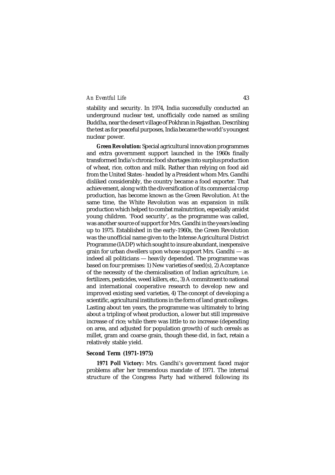stability and security. In 1974, India successfully conducted an underground nuclear test, unofficially code named as smiling Buddha, near the desert village of Pokhran in Rajasthan. Describing the test as for peaceful purposes, India became the world's youngest nuclear power.

*Green Revolution:* Special agricultural innovation programmes and extra government support launched in the 1960s finally transformed India's chronic food shortages into surplus production of wheat, rice, cotton and milk. Rather than relying on food aid from the United States - headed by a President whom Mrs. Gandhi disliked considerably, the country became a food exporter. That achievement, along with the diversification of its commercial crop production, has become known as the Green Revolution. At the same time, the White Revolution was an expansion in milk production which helped to combat malnutrition, especially amidst young children. 'Food security', as the programme was called, was another source of support for Mrs. Gandhi in the years leading up to 1975. Established in the early-1960s, the Green Revolution was the unofficial name given to the Intense Agricultural District Programme (IADP) which sought to insure abundant, inexpensive grain for urban dwellers upon whose support Mrs. Gandhi — as indeed all politicians — heavily depended. The programme was based on four premises: 1) New varieties of seed(s), 2) Acceptance of the necessity of the chemicalisation of Indian agriculture, i.e. fertilizers, pesticides, weed killers, etc., 3) A commitment to national and international cooperative research to develop new and improved existing seed varieties, 4) The concept of developing a scientific, agricultural institutions in the form of land grant colleges. Lasting about ten years, the programme was ultimately to bring about a tripling of wheat production, a lower but still impressive increase of rice; while there was little to no increase (depending on area, and adjusted for population growth) of such cereals as millet, gram and coarse grain, though these did, in fact, retain a relatively stable yield.

### *Second Term (1971-1975)*

*1971 Poll Victory:* Mrs. Gandhi's government faced major problems after her tremendous mandate of 1971. The internal structure of the Congress Party had withered following its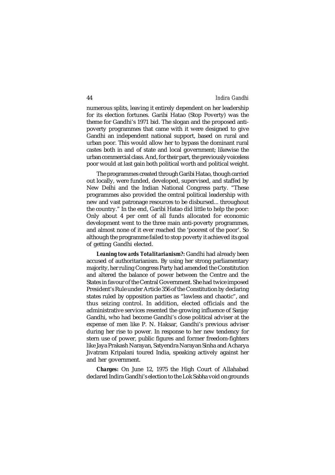numerous splits, leaving it entirely dependent on her leadership for its election fortunes. Garibi Hatao (Stop Poverty) was the theme for Gandhi's 1971 bid. The slogan and the proposed antipoverty programmes that came with it were designed to give Gandhi an independent national support, based on rural and urban poor. This would allow her to bypass the dominant rural castes both in and of state and local government; likewise the urban commercial class. And, for their part, the previously voiceless poor would at last gain both political worth and political weight.

The programmes created through Garibi Hatao, though carried out locally, were funded, developed, supervised, and staffed by New Delhi and the Indian National Congress party. "These programmes also provided the central political leadership with new and vast patronage resources to be disbursed... throughout the country." In the end, Garibi Hatao did little to help the poor: Only about 4 per cent of all funds allocated for economic development went to the three main anti-poverty programmes, and almost none of it ever reached the 'poorest of the poor'. So although the programme failed to stop poverty it achieved its goal of getting Gandhi elected.

*Leaning towards Totalitarianism?:* Gandhi had already been accused of authoritarianism. By using her strong parliamentary majority, her ruling Congress Party had amended the Constitution and altered the balance of power between the Centre and the States in favour of the Central Government. She had twice imposed President's Rule under Article 356 of the Constitution by declaring states ruled by opposition parties as "lawless and chaotic", and thus seizing control. In addition, elected officials and the administrative services resented the growing influence of Sanjay Gandhi, who had become Gandhi's close political adviser at the expense of men like P. N. Haksar, Gandhi's previous adviser during her rise to power. In response to her new tendency for stern use of power, public figures and former freedom-fighters like Jaya Prakash Narayan, Satyendra Narayan Sinha and Acharya Jivatram Kripalani toured India, speaking actively against her and her government.

*Charges:* On June 12, 1975 the High Court of Allahabad declared Indira Gandhi's election to the Lok Sabha void on grounds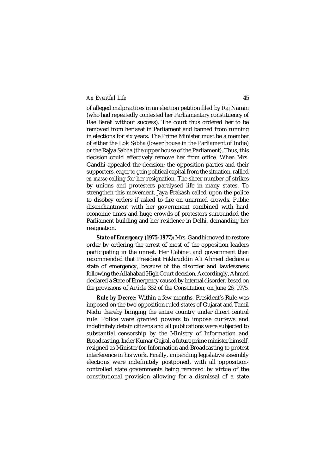of alleged malpractices in an election petition filed by Raj Narain (who had repeatedly contested her Parliamentary constituency of Rae Bareli without success). The court thus ordered her to be removed from her seat in Parliament and banned from running in elections for six years. The Prime Minister must be a member of either the Lok Sabha (lower house in the Parliament of India) or the Rajya Sabha (the upper house of the Parliament). Thus, this decision could effectively remove her from office. When Mrs. Gandhi appealed the decision; the opposition parties and their supporters, eager to gain political capital from the situation, rallied *en masse* calling for her resignation. The sheer number of strikes by unions and protesters paralysed life in many states. To strengthen this movement, Jaya Prakash called upon the police to disobey orders if asked to fire on unarmed crowds. Public disenchantment with her government combined with hard economic times and huge crowds of protestors surrounded the Parliament building and her residence in Delhi, demanding her resignation.

*State of Emergency (1975-1977):* Mrs. Gandhi moved to restore order by ordering the arrest of most of the opposition leaders participating in the unrest. Her Cabinet and government then recommended that President Fakhruddin Ali Ahmed declare a state of emergency, because of the disorder and lawlessness following the Allahabad High Court decision. Accordingly, Ahmed declared a State of Emergency caused by internal disorder, based on the provisions of Article 352 of the Constitution, on June 26, 1975.

*Rule by Decree:* Within a few months, President's Rule was imposed on the two opposition ruled states of Gujarat and Tamil Nadu thereby bringing the entire country under direct central rule. Police were granted powers to impose curfews and indefinitely detain citizens and all publications were subjected to substantial censorship by the Ministry of Information and Broadcasting. Inder Kumar Gujral, a future prime minister himself, resigned as Minister for Information and Broadcasting to protest interference in his work. Finally, impending legislative assembly elections were indefinitely postponed, with all oppositioncontrolled state governments being removed by virtue of the constitutional provision allowing for a dismissal of a state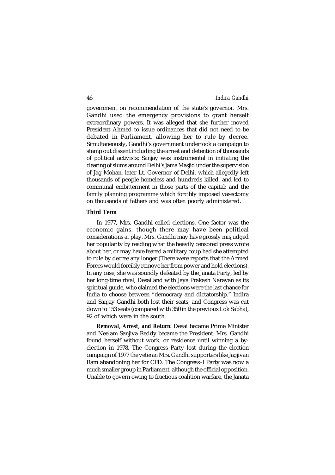government on recommendation of the state's governor. Mrs. Gandhi used the emergency provisions to grant herself extraordinary powers. It was alleged that she further moved President Ahmed to issue ordinances that did not need to be debated in Parliament, allowing her to rule by decree. Simultaneously, Gandhi's government undertook a campaign to stamp out dissent including the arrest and detention of thousands of political activists; Sanjay was instrumental in initiating the clearing of slums around Delhi's Jama Masjid under the supervision of Jag Mohan, later Lt. Governor of Delhi, which allegedly left thousands of people homeless and hundreds killed, and led to communal embitterment in those parts of the capital; and the family planning programme which forcibly imposed vasectomy on thousands of fathers and was often poorly administered.

### *Third Term*

In 1977, Mrs. Gandhi called elections. One factor was the economic gains, though there may have been political considerations at play. Mrs. Gandhi may have grossly misjudged her popularity by reading what the heavily censored press wrote about her, or may have feared a military coup had she attempted to rule by decree any longer (There were reports that the Armed Forces would forcibly remove her from power and hold elections). In any case, she was soundly defeated by the Janata Party, led by her long-time rival, Desai and with Jaya Prakash Narayan as its spiritual guide, who claimed the elections were the last chance for India to choose between "democracy and dictatorship." Indira and Sanjay Gandhi both lost their seats, and Congress was cut down to 153 seats (compared with 350 in the previous Lok Sabha), 92 of which were in the south.

*Removal, Arrest, and Return:* Desai became Prime Minister and Neelam Sanjiva Reddy became the President. Mrs. Gandhi found herself without work, or residence until winning a byelection in 1978. The Congress Party lost during the election campaign of 1977 the veteran Mrs. Gandhi supporters like Jagjivan Ram abandoning her for CFD. The Congress–I Party was now a much smaller group in Parliament, although the official opposition. Unable to govern owing to fractious coalition warfare, the Janata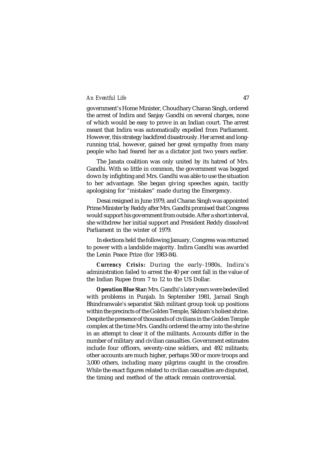government's Home Minister, Choudhary Charan Singh, ordered the arrest of Indira and Sanjay Gandhi on several charges, none of which would be easy to prove in an Indian court. The arrest meant that Indira was automatically expelled from Parliament. However, this strategy backfired disastrously. Her arrest and longrunning trial, however, gained her great sympathy from many people who had feared her as a dictator just two years earlier.

The Janata coalition was only united by its hatred of Mrs. Gandhi. With so little in common, the government was bogged down by infighting and Mrs. Gandhi was able to use the situation to her advantage. She began giving speeches again, tacitly apologising for "mistakes" made during the Emergency.

Desai resigned in June 1979, and Charan Singh was appointed Prime Minister by Reddy after Mrs. Gandhi promised that Congress would support his government from outside. After a short interval, she withdrew her initial support and President Reddy dissolved Parliament in the winter of 1979.

In elections held the following January, Congress was returned to power with a landslide majority. Indira Gandhi was awarded the Lenin Peace Prize (for 1983-84).

*Currency Crisis:* During the early-1980s, Indira's administration failed to arrest the 40 per cent fall in the value of the Indian Rupee from 7 to 12 to the US Dollar.

*Operation Blue Star:* Mrs. Gandhi's later years were bedevilled with problems in Punjab. In September 1981, Jarnail Singh Bhindranwale's separatist Sikh militant group took up positions within the precincts of the Golden Temple, Sikhism's holiest shrine. Despite the presence of thousands of civilians in the Golden Temple complex at the time Mrs. Gandhi ordered the army into the shrine in an attempt to clear it of the militants. Accounts differ in the number of military and civilian casualties. Government estimates include four officers, seventy-nine soldiers, and 492 militants; other accounts are much higher, perhaps 500 or more troops and 3,000 others, including many pilgrims caught in the crossfire. While the exact figures related to civilian casualties are disputed, the timing and method of the attack remain controversial.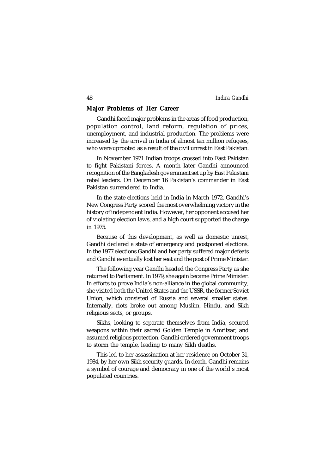### **Major Problems of Her Career**

Gandhi faced major problems in the areas of food production, population control, land reform, regulation of prices, unemployment, and industrial production. The problems were increased by the arrival in India of almost ten million refugees, who were uprooted as a result of the civil unrest in East Pakistan.

In November 1971 Indian troops crossed into East Pakistan to fight Pakistani forces. A month later Gandhi announced recognition of the Bangladesh government set up by East Pakistani rebel leaders. On December 16 Pakistan's commander in East Pakistan surrendered to India.

In the state elections held in India in March 1972, Gandhi's New Congress Party scored the most overwhelming victory in the history of independent India. However, her opponent accused her of violating election laws, and a high court supported the charge in 1975.

Because of this development, as well as domestic unrest, Gandhi declared a state of emergency and postponed elections. In the 1977 elections Gandhi and her party suffered major defeats and Gandhi eventually lost her seat and the post of Prime Minister.

The following year Gandhi headed the Congress Party as she returned to Parliament. In 1979, she again became Prime Minister. In efforts to prove India's non-alliance in the global community, she visited both the United States and the USSR, the former Soviet Union, which consisted of Russia and several smaller states. Internally, riots broke out among Muslim, Hindu, and Sikh religious sects, or groups.

Sikhs, looking to separate themselves from India, secured weapons within their sacred Golden Temple in Amritsar, and assumed religious protection. Gandhi ordered government troops to storm the temple, leading to many Sikh deaths.

This led to her assassination at her residence on October 31, 1984, by her own Sikh security guards. In death, Gandhi remains a symbol of courage and democracy in one of the world's most populated countries.